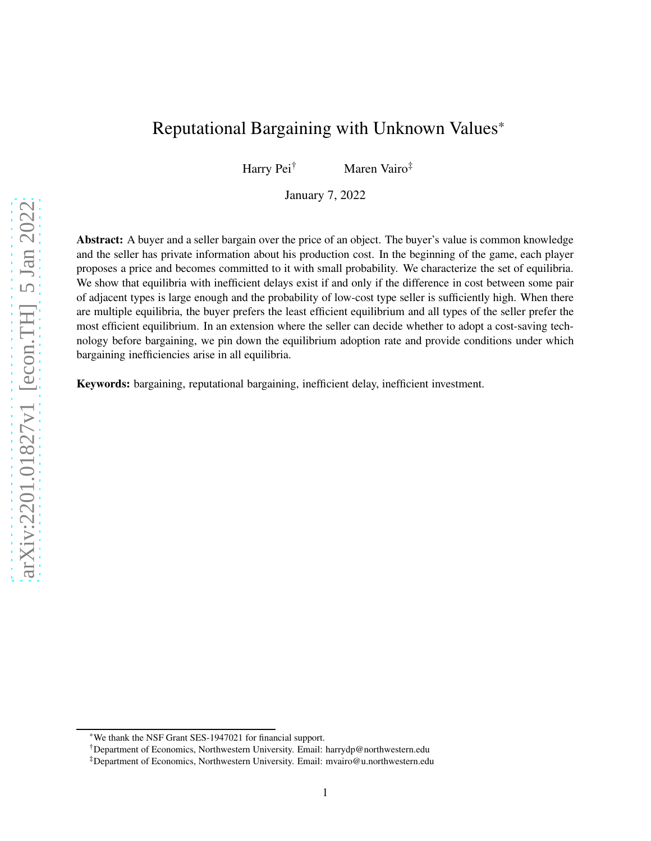# Reputational Bargaining with Unknown Values\*

Harry Pei<sup>†</sup> Maren Vairo<sup>‡</sup>

January 7, 2022

Abstract: A buyer and a seller bargain over the price of an object. The buyer's value is common knowledge and the seller has private information about his production cost. In the beginning of the game, each player proposes a price and becomes committed to it with small probability. We characterize the set of equilibria. We show that equilibria with inefficient delays exist if and only if the difference in cost between some pair of adjacent types is large enough and the probability of low-cost type seller is sufficiently high. When there are multiple equilibria, the buyer prefers the least efficient equilibrium and all types of the seller prefer the most efficient equilibrium. In an extension where the seller can decide whether to adopt a cost-saving technology before bargaining, we pin down the equilibrium adoption rate and provide conditions under which bargaining inefficiencies arise in all equilibria.

Keywords: bargaining, reputational bargaining, inefficient delay, inefficient investment.

<sup>\*</sup>We thank the NSF Grant SES-1947021 for financial support.

<sup>†</sup>Department of Economics, Northwestern University. Email: harrydp@northwestern.edu

<sup>‡</sup>Department of Economics, Northwestern University. Email: mvairo@u.northwestern.edu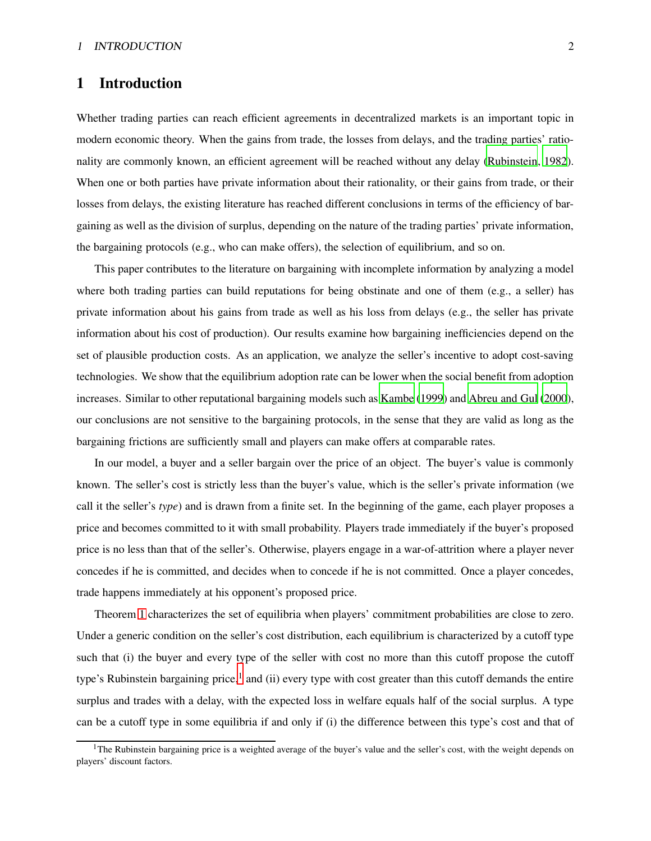### 1 Introduction

Whether trading parties can reach efficient agreements in decentralized markets is an important topic in modern economic theory. When the gains from trade, the losses from delays, and the trading parties' rationality are commonly known, an efficient agreement will be reached without any delay [\(Rubinstein, 1982](#page-34-0)). When one or both parties have private information about their rationality, or their gains from trade, or their losses from delays, the existing literature has reached different conclusions in terms of the efficiency of bargaining as well as the division of surplus, depending on the nature of the trading parties' private information, the bargaining protocols (e.g., who can make offers), the selection of equilibrium, and so on.

This paper contributes to the literature on bargaining with incomplete information by analyzing a model where both trading parties can build reputations for being obstinate and one of them (e.g., a seller) has private information about his gains from trade as well as his loss from delays (e.g., the seller has private information about his cost of production). Our results examine how bargaining inefficiencies depend on the set of plausible production costs. As an application, we analyze the seller's incentive to adopt cost-saving technologies. We show that the equilibrium adoption rate can be lower when the social benefit from adoption increases. Similar to other reputational bargaining models such as [Kambe \(1999](#page-34-1)) and [Abreu and Gul](#page-33-0) [\(2000](#page-33-0)), our conclusions are not sensitive to the bargaining protocols, in the sense that they are valid as long as the bargaining frictions are sufficiently small and players can make offers at comparable rates.

In our model, a buyer and a seller bargain over the price of an object. The buyer's value is commonly known. The seller's cost is strictly less than the buyer's value, which is the seller's private information (we call it the seller's *type*) and is drawn from a finite set. In the beginning of the game, each player proposes a price and becomes committed to it with small probability. Players trade immediately if the buyer's proposed price is no less than that of the seller's. Otherwise, players engage in a war-of-attrition where a player never concedes if he is committed, and decides when to concede if he is not committed. Once a player concedes, trade happens immediately at his opponent's proposed price.

Theorem [1](#page-7-0) characterizes the set of equilibria when players' commitment probabilities are close to zero. Under a generic condition on the seller's cost distribution, each equilibrium is characterized by a cutoff type such that (i) the buyer and every type of the seller with cost no more than this cutoff propose the cutoff type's Rubinstein bargaining price,<sup>1</sup> and (ii) every type with cost greater than this cutoff demands the entire surplus and trades with a delay, with the expected loss in welfare equals half of the social surplus. A type can be a cutoff type in some equilibria if and only if (i) the difference between this type's cost and that of

<sup>&</sup>lt;sup>1</sup>The Rubinstein bargaining price is a weighted average of the buyer's value and the seller's cost, with the weight depends on players' discount factors.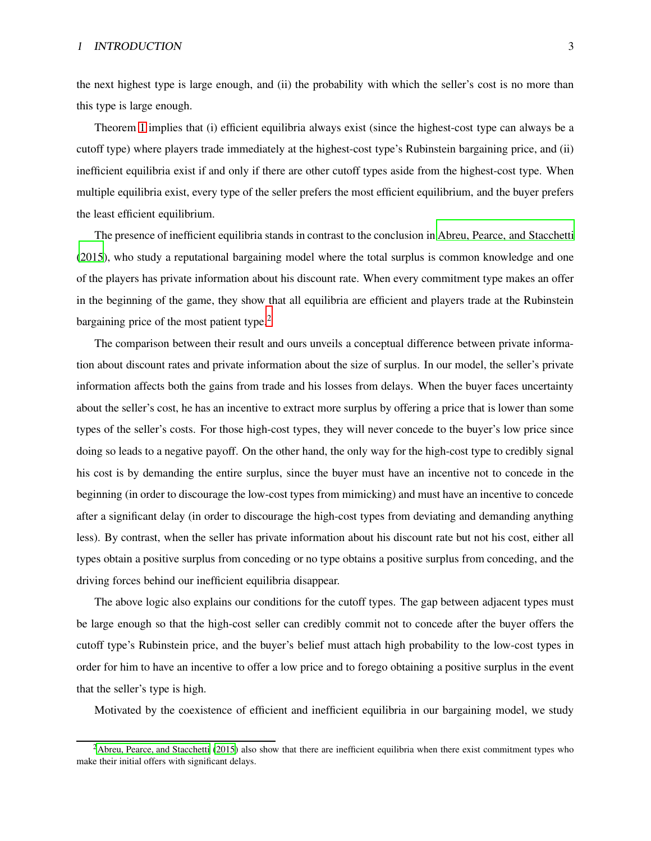the next highest type is large enough, and (ii) the probability with which the seller's cost is no more than this type is large enough.

Theorem [1](#page-7-0) implies that (i) efficient equilibria always exist (since the highest-cost type can always be a cutoff type) where players trade immediately at the highest-cost type's Rubinstein bargaining price, and (ii) inefficient equilibria exist if and only if there are other cutoff types aside from the highest-cost type. When multiple equilibria exist, every type of the seller prefers the most efficient equilibrium, and the buyer prefers the least efficient equilibrium.

The presence of inefficient equilibria stands in contrast to the conclusion in [Abreu, Pearce, and Stacchetti](#page-33-1) [\(2015](#page-33-1)), who study a reputational bargaining model where the total surplus is common knowledge and one of the players has private information about his discount rate. When every commitment type makes an offer in the beginning of the game, they show that all equilibria are efficient and players trade at the Rubinstein bargaining price of the most patient type.<sup>2</sup>

The comparison between their result and ours unveils a conceptual difference between private information about discount rates and private information about the size of surplus. In our model, the seller's private information affects both the gains from trade and his losses from delays. When the buyer faces uncertainty about the seller's cost, he has an incentive to extract more surplus by offering a price that is lower than some types of the seller's costs. For those high-cost types, they will never concede to the buyer's low price since doing so leads to a negative payoff. On the other hand, the only way for the high-cost type to credibly signal his cost is by demanding the entire surplus, since the buyer must have an incentive not to concede in the beginning (in order to discourage the low-cost types from mimicking) and must have an incentive to concede after a significant delay (in order to discourage the high-cost types from deviating and demanding anything less). By contrast, when the seller has private information about his discount rate but not his cost, either all types obtain a positive surplus from conceding or no type obtains a positive surplus from conceding, and the driving forces behind our inefficient equilibria disappear.

The above logic also explains our conditions for the cutoff types. The gap between adjacent types must be large enough so that the high-cost seller can credibly commit not to concede after the buyer offers the cutoff type's Rubinstein price, and the buyer's belief must attach high probability to the low-cost types in order for him to have an incentive to offer a low price and to forego obtaining a positive surplus in the event that the seller's type is high.

Motivated by the coexistence of efficient and inefficient equilibria in our bargaining model, we study

 $<sup>2</sup>$ [Abreu, Pearce, and Stacchetti \(2015](#page-33-1)) also show that there are inefficient equilibria when there exist commitment types who</sup> make their initial offers with significant delays.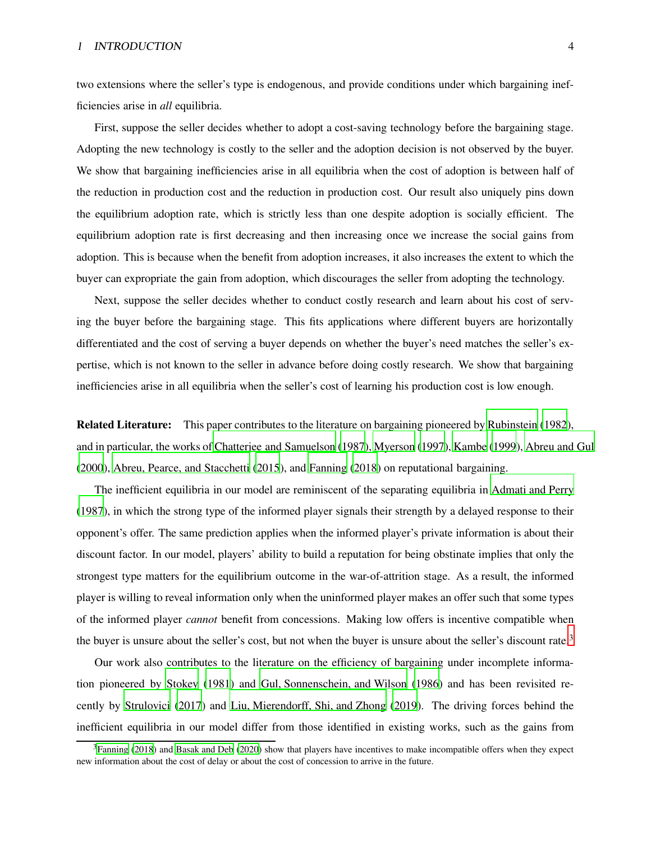two extensions where the seller's type is endogenous, and provide conditions under which bargaining inefficiencies arise in *all* equilibria.

First, suppose the seller decides whether to adopt a cost-saving technology before the bargaining stage. Adopting the new technology is costly to the seller and the adoption decision is not observed by the buyer. We show that bargaining inefficiencies arise in all equilibria when the cost of adoption is between half of the reduction in production cost and the reduction in production cost. Our result also uniquely pins down the equilibrium adoption rate, which is strictly less than one despite adoption is socially efficient. The equilibrium adoption rate is first decreasing and then increasing once we increase the social gains from adoption. This is because when the benefit from adoption increases, it also increases the extent to which the buyer can expropriate the gain from adoption, which discourages the seller from adopting the technology.

Next, suppose the seller decides whether to conduct costly research and learn about his cost of serving the buyer before the bargaining stage. This fits applications where different buyers are horizontally differentiated and the cost of serving a buyer depends on whether the buyer's need matches the seller's expertise, which is not known to the seller in advance before doing costly research. We show that bargaining inefficiencies arise in all equilibria when the seller's cost of learning his production cost is low enough.

Related Literature: This paper contributes to the literature on bargaining pioneered by [Rubinstein](#page-34-0) [\(1982](#page-34-0)), and in particular, the works of [Chatterjee and Samuelson \(1987](#page-33-2)), [Myerson \(1997](#page-34-2)), [Kambe \(1999\)](#page-34-1), [Abreu and Gul](#page-33-0) [\(2000](#page-33-0)), [Abreu, Pearce, and Stacchetti](#page-33-1) [\(2015](#page-33-1)), and [Fanning \(2018\)](#page-33-3) on reputational bargaining.

The inefficient equilibria in our model are reminiscent of the separating equilibria in [Admati and Perry](#page-33-4) [\(1987](#page-33-4)), in which the strong type of the informed player signals their strength by a delayed response to their opponent's offer. The same prediction applies when the informed player's private information is about their discount factor. In our model, players' ability to build a reputation for being obstinate implies that only the strongest type matters for the equilibrium outcome in the war-of-attrition stage. As a result, the informed player is willing to reveal information only when the uninformed player makes an offer such that some types of the informed player *cannot* benefit from concessions. Making low offers is incentive compatible when the buyer is unsure about the seller's cost, but not when the buyer is unsure about the seller's discount rate.<sup>3</sup>

Our work also contributes to the literature on the efficiency of bargaining under incomplete information pioneered by [Stokey \(1981\)](#page-34-3) and [Gul, Sonnenschein, and Wilson \(1986\)](#page-34-4) and has been revisited recently by [Strulovici \(2017\)](#page-34-5) and [Liu, Mierendorff, Shi, and Zhong](#page-34-6) [\(2019](#page-34-6)). The driving forces behind the inefficient equilibria in our model differ from those identified in existing works, such as the gains from

 $3$ [Fanning \(2018](#page-33-3)) and [Basak and Deb \(2020](#page-33-5)) show that players have incentives to make incompatible offers when they expect new information about the cost of delay or about the cost of concession to arrive in the future.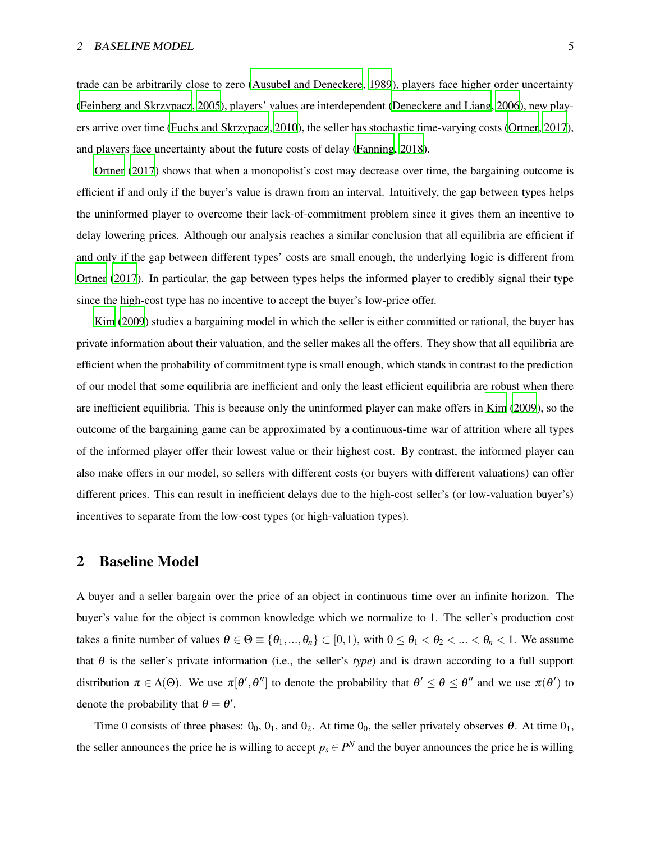trade can be arbitrarily close to zero [\(Ausubel and Deneckere](#page-33-6), [1989](#page-33-6)), players face higher order uncertainty [\(Feinberg and Skrzypacz, 2005](#page-33-7)), players' values are interdependent [\(Deneckere and Liang](#page-33-8), [2006](#page-33-8)), new players arrive over time [\(Fuchs and Skrzypacz](#page-33-9), [2010](#page-33-9)), the seller has stochastic time-varying costs [\(Ortner, 2017](#page-34-7)), and players face uncertainty about the future costs of delay [\(Fanning](#page-33-3), [2018](#page-33-3)).

[Ortner \(2017\)](#page-34-7) shows that when a monopolist's cost may decrease over time, the bargaining outcome is efficient if and only if the buyer's value is drawn from an interval. Intuitively, the gap between types helps the uninformed player to overcome their lack-of-commitment problem since it gives them an incentive to delay lowering prices. Although our analysis reaches a similar conclusion that all equilibria are efficient if and only if the gap between different types' costs are small enough, the underlying logic is different from [Ortner \(2017](#page-34-7)). In particular, the gap between types helps the informed player to credibly signal their type since the high-cost type has no incentive to accept the buyer's low-price offer.

[Kim](#page-34-8) [\(2009](#page-34-8)) studies a bargaining model in which the seller is either committed or rational, the buyer has private information about their valuation, and the seller makes all the offers. They show that all equilibria are efficient when the probability of commitment type is small enough, which stands in contrast to the prediction of our model that some equilibria are inefficient and only the least efficient equilibria are robust when there are inefficient equilibria. This is because only the uninformed player can make offers in [Kim \(2009](#page-34-8)), so the outcome of the bargaining game can be approximated by a continuous-time war of attrition where all types of the informed player offer their lowest value or their highest cost. By contrast, the informed player can also make offers in our model, so sellers with different costs (or buyers with different valuations) can offer different prices. This can result in inefficient delays due to the high-cost seller's (or low-valuation buyer's) incentives to separate from the low-cost types (or high-valuation types).

### <span id="page-4-0"></span>2 Baseline Model

A buyer and a seller bargain over the price of an object in continuous time over an infinite horizon. The buyer's value for the object is common knowledge which we normalize to 1. The seller's production cost takes a finite number of values  $\theta \in \Theta \equiv \{\theta_1, ..., \theta_n\} \subset [0, 1)$ , with  $0 \le \theta_1 < \theta_2 < ... < \theta_n < 1$ . We assume that  $\theta$  is the seller's private information (i.e., the seller's *type*) and is drawn according to a full support distribution  $\pi \in \Delta(\Theta)$ . We use  $\pi[\theta', \theta'']$  to denote the probability that  $\theta' \le \theta \le \theta''$  and we use  $\pi(\theta')$  to denote the probability that  $\theta = \theta'$ .

Time 0 consists of three phases:  $0_0$ ,  $0_1$ , and  $0_2$ . At time  $0_0$ , the seller privately observes  $\theta$ . At time  $0_1$ , the seller announces the price he is willing to accept  $p_s \in P^N$  and the buyer announces the price he is willing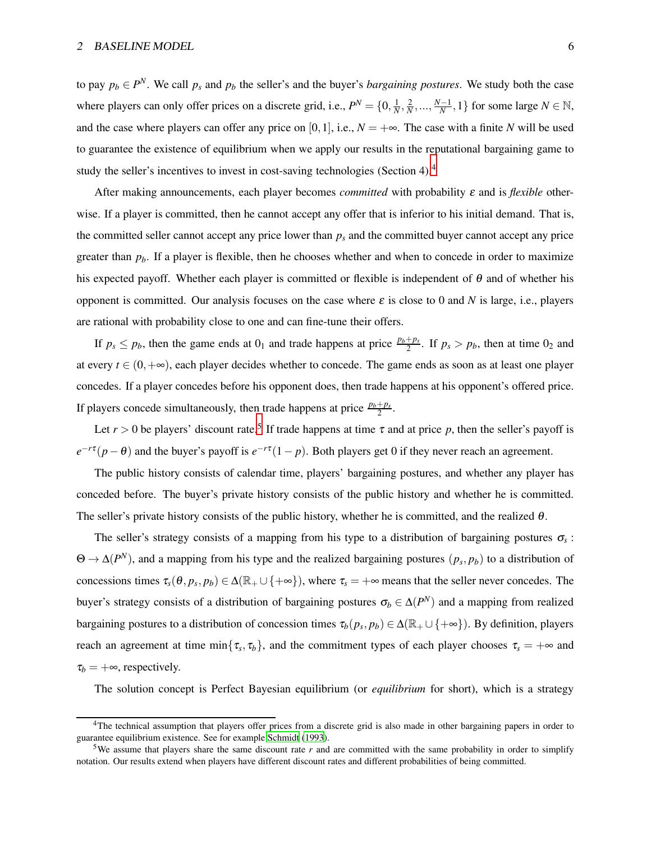to pay  $p_b \in P^N$ . We call  $p_s$  and  $p_b$  the seller's and the buyer's *bargaining postures*. We study both the case where players can only offer prices on a discrete grid, i.e.,  $P^N = \{0, \frac{1}{N}, \frac{2}{N}, ..., \frac{N-1}{N}, 1\}$  for some large  $N \in \mathbb{N}$ , and the case where players can offer any price on [0,1], i.e.,  $N = +\infty$ . The case with a finite *N* will be used to guarantee the existence of equilibrium when we apply our results in the reputational bargaining game to study the seller's incentives to invest in cost-saving technologies (Section 4).<sup>4</sup>

After making announcements, each player becomes *committed* with probability <sup>ε</sup> and is *flexible* otherwise. If a player is committed, then he cannot accept any offer that is inferior to his initial demand. That is, the committed seller cannot accept any price lower than  $p<sub>s</sub>$  and the committed buyer cannot accept any price greater than *pb*. If a player is flexible, then he chooses whether and when to concede in order to maximize his expected payoff. Whether each player is committed or flexible is independent of  $\theta$  and of whether his opponent is committed. Our analysis focuses on the case where  $\varepsilon$  is close to 0 and *N* is large, i.e., players are rational with probability close to one and can fine-tune their offers.

If  $p_s \leq p_b$ , then the game ends at  $0_1$  and trade happens at price  $\frac{p_b+p_s}{2}$ . If  $p_s > p_b$ , then at time  $0_2$  and at every  $t \in (0, +\infty)$ , each player decides whether to concede. The game ends as soon as at least one player concedes. If a player concedes before his opponent does, then trade happens at his opponent's offered price. If players concede simultaneously, then trade happens at price  $\frac{p_b+p_s}{2}$ .

Let  $r > 0$  be players' discount rate.<sup>5</sup> If trade happens at time  $\tau$  and at price p, then the seller's payoff is  $e^{-r\tau}(p-\theta)$  and the buyer's payoff is  $e^{-r\tau}(1-p)$ . Both players get 0 if they never reach an agreement.

The public history consists of calendar time, players' bargaining postures, and whether any player has conceded before. The buyer's private history consists of the public history and whether he is committed. The seller's private history consists of the public history, whether he is committed, and the realized  $\theta$ .

The seller's strategy consists of a mapping from his type to a distribution of bargaining postures  $\sigma_s$ : Θ → ∆(*P <sup>N</sup>*), and a mapping from his type and the realized bargaining postures (*p<sup>s</sup>* , *pb*) to a distribution of concessions times  $\tau_s(\theta, p_s, p_b) \in \Delta(\mathbb{R}_+ \cup \{+\infty\})$ , where  $\tau_s = +\infty$  means that the seller never concedes. The buyer's strategy consists of a distribution of bargaining postures  $\sigma_b \in \Delta(P^N)$  and a mapping from realized bargaining postures to a distribution of concession times  $\tau_b(p_s, p_b) \in \Delta(\mathbb{R}_+ \cup \{+\infty\})$ . By definition, players reach an agreement at time min $\{\tau_s, \tau_b\}$ , and the commitment types of each player chooses  $\tau_s = +\infty$  and  $\tau_b = +\infty$ , respectively.

The solution concept is Perfect Bayesian equilibrium (or *equilibrium* for short), which is a strategy

<sup>&</sup>lt;sup>4</sup>The technical assumption that players offer prices from a discrete grid is also made in other bargaining papers in order to guarantee equilibrium existence. See for example [Schmidt \(1993\)](#page-34-9).

<sup>5</sup>We assume that players share the same discount rate *r* and are committed with the same probability in order to simplify notation. Our results extend when players have different discount rates and different probabilities of being committed.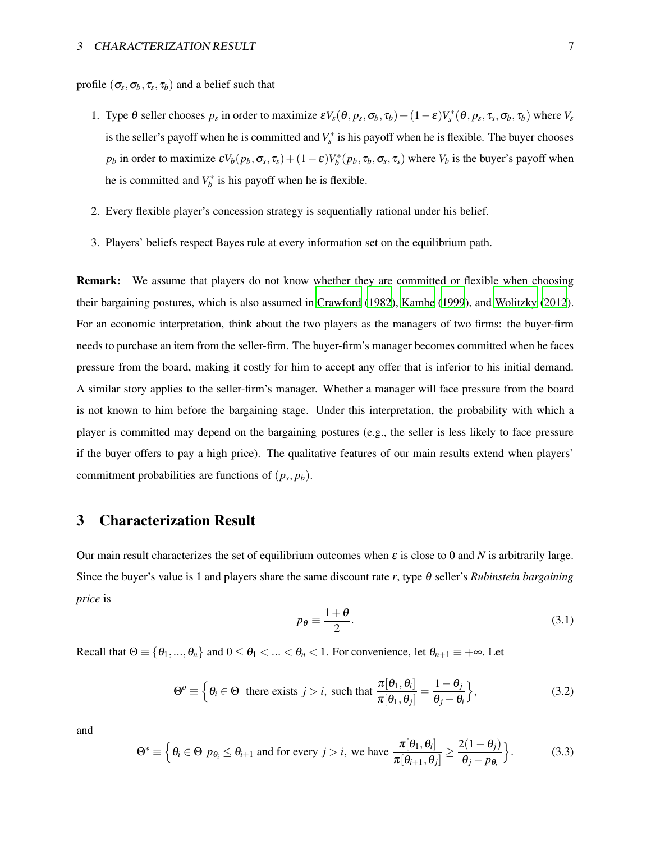profile  $(\sigma_s, \sigma_b, \tau_s, \tau_b)$  and a belief such that

- 1. Type  $\theta$  seller chooses  $p_s$  in order to maximize  $\epsilon V_s(\theta, p_s, \sigma_b, \tau_b) + (1 \epsilon)V_s^*(\theta, p_s, \tau_s, \sigma_b, \tau_b)$  where  $V_s$ is the seller's payoff when he is committed and  $V_s^*$  is his payoff when he is flexible. The buyer chooses *p*<sup>*b*</sup> in order to maximize  $\epsilon V_b(p_b, \sigma_s, \tau_s) + (1 - \epsilon)V_b^*(p_b, \tau_b, \sigma_s, \tau_s)$  where  $V_b$  is the buyer's payoff when he is committed and  $V_b^*$  is his payoff when he is flexible.
- 2. Every flexible player's concession strategy is sequentially rational under his belief.
- 3. Players' beliefs respect Bayes rule at every information set on the equilibrium path.

Remark: We assume that players do not know whether they are committed or flexible when choosing their bargaining postures, which is also assumed in [Crawford](#page-33-10) [\(1982](#page-33-10)), [Kambe](#page-34-1) [\(1999](#page-34-1)), and [Wolitzky](#page-34-10) [\(2012](#page-34-10)). For an economic interpretation, think about the two players as the managers of two firms: the buyer-firm needs to purchase an item from the seller-firm. The buyer-firm's manager becomes committed when he faces pressure from the board, making it costly for him to accept any offer that is inferior to his initial demand. A similar story applies to the seller-firm's manager. Whether a manager will face pressure from the board is not known to him before the bargaining stage. Under this interpretation, the probability with which a player is committed may depend on the bargaining postures (e.g., the seller is less likely to face pressure if the buyer offers to pay a high price). The qualitative features of our main results extend when players' commitment probabilities are functions of  $(p_s, p_b)$ .

### 3 Characterization Result

Our main result characterizes the set of equilibrium outcomes when  $\varepsilon$  is close to 0 and *N* is arbitrarily large. Since the buyer's value is 1 and players share the same discount rate *r*, type <sup>θ</sup> seller's *Rubinstein bargaining price* is

$$
p_{\theta} \equiv \frac{1+\theta}{2}.\tag{3.1}
$$

Recall that  $\Theta \equiv \{\theta_1, ..., \theta_n\}$  and  $0 \le \theta_1 < ... < \theta_n < 1$ . For convenience, let  $\theta_{n+1} \equiv +\infty$ . Let

<span id="page-6-0"></span>
$$
\Theta^o \equiv \left\{ \theta_i \in \Theta \middle| \text{ there exists } j > i, \text{ such that } \frac{\pi[\theta_1, \theta_i]}{\pi[\theta_1, \theta_j]} = \frac{1 - \theta_j}{\theta_j - \theta_i} \right\},\tag{3.2}
$$

and

<span id="page-6-1"></span>
$$
\Theta^* \equiv \left\{ \theta_i \in \Theta \middle| p_{\theta_i} \leq \theta_{i+1} \text{ and for every } j > i, \text{ we have } \frac{\pi[\theta_1, \theta_i]}{\pi[\theta_{i+1}, \theta_j]} \geq \frac{2(1-\theta_j)}{\theta_j - p_{\theta_i}} \right\}.
$$
 (3.3)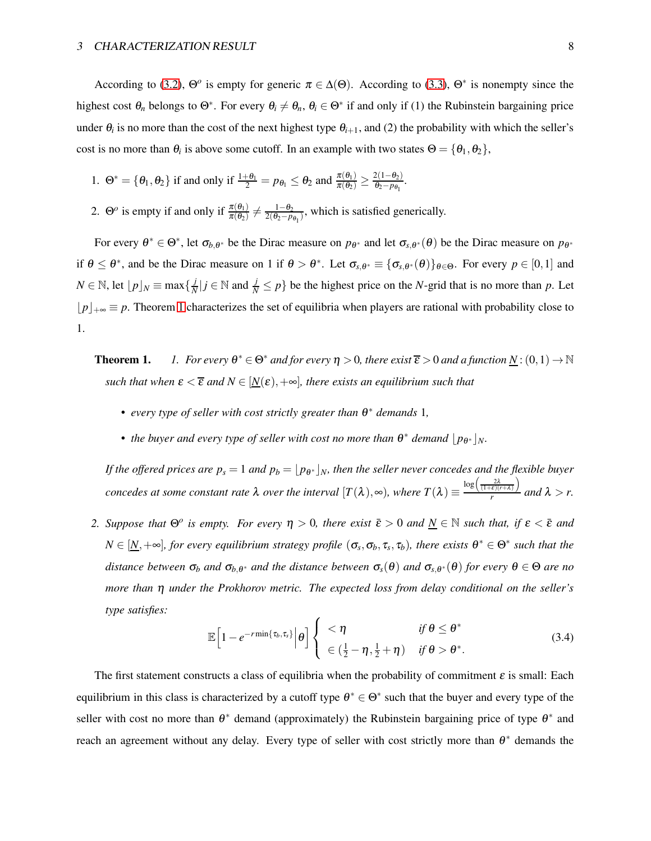According to [\(3.2\)](#page-6-0),  $\Theta^o$  is empty for generic  $\pi \in \Delta(\Theta)$ . According to [\(3.3\)](#page-6-1),  $\Theta^*$  is nonempty since the highest cost  $\theta_n$  belongs to  $\Theta^*$ . For every  $\theta_i \neq \theta_n$ ,  $\theta_i \in \Theta^*$  if and only if (1) the Rubinstein bargaining price under  $\theta_i$  is no more than the cost of the next highest type  $\theta_{i+1}$ , and (2) the probability with which the seller's cost is no more than  $\theta_i$  is above some cutoff. In an example with two states  $\Theta = {\theta_1, \theta_2}$ ,

- 1.  $\Theta^* = \{\theta_1, \theta_2\}$  if and only if  $\frac{1+\theta_1}{2} = p_{\theta_1} \le \theta_2$  and  $\frac{\pi(\theta_1)}{\pi(\theta_2)} \ge \frac{2(1-\theta_2)}{\theta_2 p_{\theta_1}}$  $\frac{\theta_2-p_{\theta_1}}{\theta_2-p_{\theta_1}}$ .
- 2.  $\Theta^o$  is empty if and only if  $\frac{\pi(\theta_1)}{\pi(\theta_2)} \neq \frac{1-\theta_2}{2(\theta_2-p)}$  $\frac{1-\theta_2}{2(\theta_2-p_{\theta_1})}$ , which is satisfied generically.

For every  $\theta^* \in \Theta^*$ , let  $\sigma_{b,\theta^*}$  be the Dirac measure on  $p_{\theta^*}$  and let  $\sigma_{s,\theta^*}(\theta)$  be the Dirac measure on  $p_{\theta^*}$ if  $\theta \leq \theta^*$ , and be the Dirac measure on 1 if  $\theta > \theta^*$ . Let  $\sigma_{s,\theta^*} \equiv {\{\sigma_{s,\theta^*}(\theta)\}}_{\theta \in \Theta}$ . For every  $p \in [0,1]$  and *N* ∈ N, let  $\lfloor p \rfloor$ *N* ≡ max $\{\frac{j}{N}\}$  $\frac{j}{N}$  | *j*  $\in \mathbb{N}$  and  $\frac{j}{N} \leq p$  } be the highest price on the *N*-grid that is no more than *p*. Let ⌊*p*⌋+<sup>∞</sup> ≡ *p*. Theorem [1](#page-7-0) characterizes the set of equilibria when players are rational with probability close to 1.

<span id="page-7-0"></span>**Theorem 1.** *1. For every*  $\theta^* \in \Theta^*$  *and for every*  $\eta > 0$ *, there exist*  $\overline{\epsilon} > 0$  *and a function*  $\underline{N}$ :  $(0,1) \to \mathbb{N}$ *such that when*  $\varepsilon < \overline{\varepsilon}$  *and*  $N \in [N(\varepsilon), +\infty]$ *, there exists an equilibrium such that* 

- *every type of seller with cost strictly greater than* <sup>θ</sup> <sup>∗</sup> *demands* 1*,*
- the buyer and every type of seller with cost no more than  $\theta^*$  demand  $\lfloor p_{\theta^*} \rfloor_N$ .

*If the offered prices are*  $p_s = 1$  *and*  $p_b = \lfloor p_{\theta^*} \rfloor_N$ *, then the seller never concedes and the flexible buyer concedes at some constant rate*  $\lambda$  *over the interval*  $[T(\lambda), \infty)$ *, where*  $T(\lambda) \equiv$  $\log\left(\frac{2\lambda}{(1+\varepsilon)(r+\lambda)}\right)$  $\int_{r}^{\epsilon_1(r+\lambda_1)}$  and  $\lambda > r$ .

*2. Suppose that*  $\Theta$ <sup>*o*</sup> *is empty. For every*  $\eta > 0$ , *there exist*  $\bar{\varepsilon} > 0$  *and*  $\underline{N} \in \mathbb{N}$  *such that, if*  $\varepsilon < \bar{\varepsilon}$  *and*  $N \in [\underline{N}, +\infty]$ , for every equilibrium strategy profile  $(\sigma_s, \sigma_b, \tau_s, \tau_b)$ , there exists  $\theta^* \in \Theta^*$  such that the distance between  $\sigma_b$  and  $\sigma_{b,\theta^*}$  and the distance between  $\sigma_s(\theta)$  and  $\sigma_{s,\theta^*}(\theta)$  for every  $\theta \in \Theta$  are no *more than* η *under the Prokhorov metric. The expected loss from delay conditional on the seller's type satisfies:*

<span id="page-7-1"></span>
$$
\mathbb{E}\left[1-e^{-r\min\{\tau_b,\tau_s\}}\Big|\theta\right]\left\{\begin{array}{ll} <\eta & \text{if }\theta\leq\theta^*\\ \in\left(\frac{1}{2}-\eta,\frac{1}{2}+\eta\right) & \text{if }\theta>\theta^*.\end{array}\right.
$$
\n(3.4)

The first statement constructs a class of equilibria when the probability of commitment  $\varepsilon$  is small: Each equilibrium in this class is characterized by a cutoff type  $\theta^* \in \Theta^*$  such that the buyer and every type of the seller with cost no more than  $\theta^*$  demand (approximately) the Rubinstein bargaining price of type  $\theta^*$  and reach an agreement without any delay. Every type of seller with cost strictly more than  $\theta^*$  demands the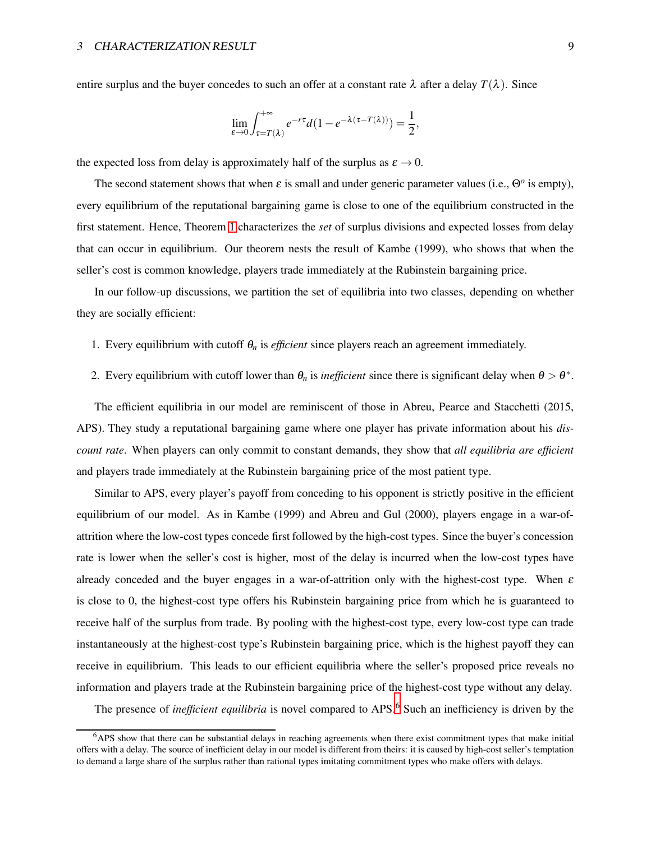entire surplus and the buyer concedes to such an offer at a constant rate  $\lambda$  after a delay  $T(\lambda)$ . Since

$$
\lim_{\varepsilon \to 0} \int_{\tau = T(\lambda)}^{+\infty} e^{-r\tau} d(1 - e^{-\lambda(\tau - T(\lambda))}) = \frac{1}{2},
$$

the expected loss from delay is approximately half of the surplus as  $\varepsilon \to 0$ .

The second statement shows that when  $\varepsilon$  is small and under generic parameter values (i.e.,  $\Theta$ <sup>o</sup> is empty), every equilibrium of the reputational bargaining game is close to one of the equilibrium constructed in the first statement. Hence, Theorem [1](#page-7-0) characterizes the *set* of surplus divisions and expected losses from delay that can occur in equilibrium. Our theorem nests the result of Kambe (1999), who shows that when the seller's cost is common knowledge, players trade immediately at the Rubinstein bargaining price.

In our follow-up discussions, we partition the set of equilibria into two classes, depending on whether they are socially efficient:

- 1. Every equilibrium with cutoff  $\theta_n$  is *efficient* since players reach an agreement immediately.
- 2. Every equilibrium with cutoff lower than  $\theta_n$  is *inefficient* since there is significant delay when  $\theta > \theta^*$ .

The efficient equilibria in our model are reminiscent of those in Abreu, Pearce and Stacchetti (2015, APS). They study a reputational bargaining game where one player has private information about his *discount rate*. When players can only commit to constant demands, they show that *all equilibria are efficient* and players trade immediately at the Rubinstein bargaining price of the most patient type.

Similar to APS, every player's payoff from conceding to his opponent is strictly positive in the efficient equilibrium of our model. As in Kambe (1999) and Abreu and Gul (2000), players engage in a war-ofattrition where the low-cost types concede first followed by the high-cost types. Since the buyer's concession rate is lower when the seller's cost is higher, most of the delay is incurred when the low-cost types have already conceded and the buyer engages in a war-of-attrition only with the highest-cost type. When  $\varepsilon$ is close to 0, the highest-cost type offers his Rubinstein bargaining price from which he is guaranteed to receive half of the surplus from trade. By pooling with the highest-cost type, every low-cost type can trade instantaneously at the highest-cost type's Rubinstein bargaining price, which is the highest payoff they can receive in equilibrium. This leads to our efficient equilibria where the seller's proposed price reveals no information and players trade at the Rubinstein bargaining price of the highest-cost type without any delay.

The presence of *inefficient equilibria* is novel compared to APS.<sup>6</sup> Such an inefficiency is driven by the

<sup>6</sup>APS show that there can be substantial delays in reaching agreements when there exist commitment types that make initial offers with a delay. The source of inefficient delay in our model is different from theirs: it is caused by high-cost seller's temptation to demand a large share of the surplus rather than rational types imitating commitment types who make offers with delays.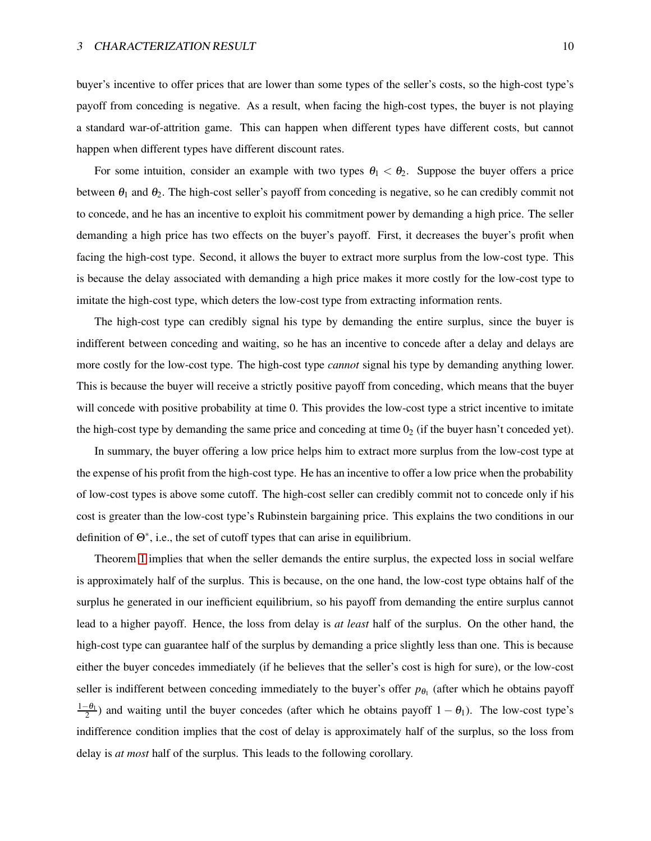buyer's incentive to offer prices that are lower than some types of the seller's costs, so the high-cost type's payoff from conceding is negative. As a result, when facing the high-cost types, the buyer is not playing a standard war-of-attrition game. This can happen when different types have different costs, but cannot happen when different types have different discount rates.

For some intuition, consider an example with two types  $\theta_1 < \theta_2$ . Suppose the buyer offers a price between  $\theta_1$  and  $\theta_2$ . The high-cost seller's payoff from conceding is negative, so he can credibly commit not to concede, and he has an incentive to exploit his commitment power by demanding a high price. The seller demanding a high price has two effects on the buyer's payoff. First, it decreases the buyer's profit when facing the high-cost type. Second, it allows the buyer to extract more surplus from the low-cost type. This is because the delay associated with demanding a high price makes it more costly for the low-cost type to imitate the high-cost type, which deters the low-cost type from extracting information rents.

The high-cost type can credibly signal his type by demanding the entire surplus, since the buyer is indifferent between conceding and waiting, so he has an incentive to concede after a delay and delays are more costly for the low-cost type. The high-cost type *cannot* signal his type by demanding anything lower. This is because the buyer will receive a strictly positive payoff from conceding, which means that the buyer will concede with positive probability at time 0. This provides the low-cost type a strict incentive to imitate the high-cost type by demanding the same price and conceding at time  $0<sub>2</sub>$  (if the buyer hasn't conceded yet).

In summary, the buyer offering a low price helps him to extract more surplus from the low-cost type at the expense of his profit from the high-cost type. He has an incentive to offer a low price when the probability of low-cost types is above some cutoff. The high-cost seller can credibly commit not to concede only if his cost is greater than the low-cost type's Rubinstein bargaining price. This explains the two conditions in our definition of Θ<sup>∗</sup> , i.e., the set of cutoff types that can arise in equilibrium.

Theorem [1](#page-7-0) implies that when the seller demands the entire surplus, the expected loss in social welfare is approximately half of the surplus. This is because, on the one hand, the low-cost type obtains half of the surplus he generated in our inefficient equilibrium, so his payoff from demanding the entire surplus cannot lead to a higher payoff. Hence, the loss from delay is *at least* half of the surplus. On the other hand, the high-cost type can guarantee half of the surplus by demanding a price slightly less than one. This is because either the buyer concedes immediately (if he believes that the seller's cost is high for sure), or the low-cost seller is indifferent between conceding immediately to the buyer's offer  $p_{\theta_1}$  (after which he obtains payoff  $\frac{1-\theta_1}{2}$ ) and waiting until the buyer concedes (after which he obtains payoff  $1-\theta_1$ ). The low-cost type's indifference condition implies that the cost of delay is approximately half of the surplus, so the loss from delay is *at most* half of the surplus. This leads to the following corollary.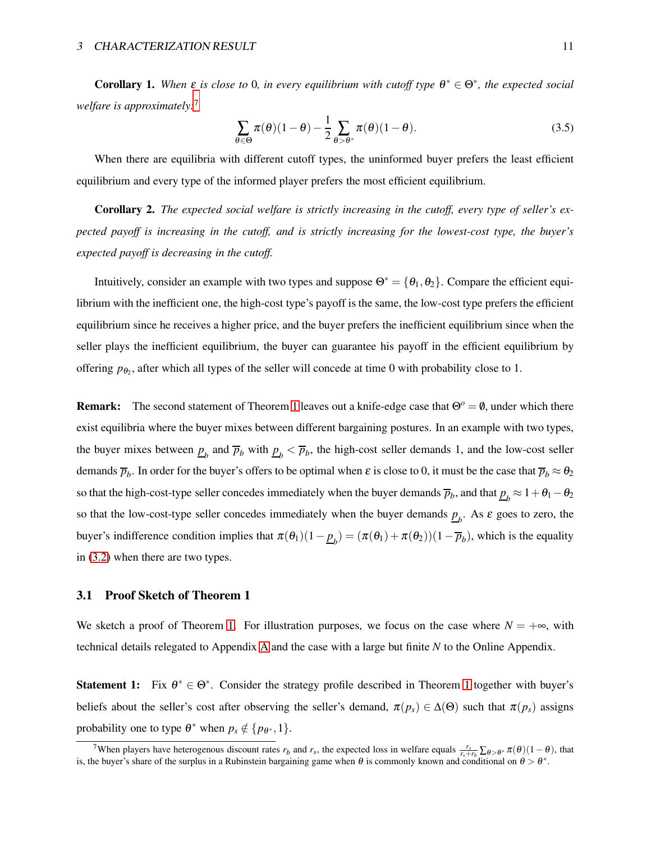**Corollary 1.** When  $\varepsilon$  is close to 0, in every equilibrium with cutoff type  $\theta^* \in \Theta^*$ , the expected social *welfare is approximately:*<sup>7</sup>

$$
\sum_{\theta \in \Theta} \pi(\theta)(1-\theta) - \frac{1}{2} \sum_{\theta > \theta^*} \pi(\theta)(1-\theta).
$$
 (3.5)

When there are equilibria with different cutoff types, the uninformed buyer prefers the least efficient equilibrium and every type of the informed player prefers the most efficient equilibrium.

Corollary 2. *The expected social welfare is strictly increasing in the cutoff, every type of seller's expected payoff is increasing in the cutoff, and is strictly increasing for the lowest-cost type, the buyer's expected payoff is decreasing in the cutoff.*

Intuitively, consider an example with two types and suppose  $\Theta^* = {\theta_1, \theta_2}$ . Compare the efficient equilibrium with the inefficient one, the high-cost type's payoff is the same, the low-cost type prefers the efficient equilibrium since he receives a higher price, and the buyer prefers the inefficient equilibrium since when the seller plays the inefficient equilibrium, the buyer can guarantee his payoff in the efficient equilibrium by offering  $p_{\theta_2}$ , after which all types of the seller will concede at time 0 with probability close to 1.

**Remark:** The second statement of Theorem [1](#page-7-0) leaves out a knife-edge case that  $\Theta^o = \emptyset$ , under which there exist equilibria where the buyer mixes between different bargaining postures. In an example with two types, the buyer mixes between  $\underline{p}_b$  and  $\overline{p}_b$  with  $\underline{p}_b < \overline{p}_b$ , the high-cost seller demands 1, and the low-cost seller demands  $\overline{p}_b$ . In order for the buyer's offers to be optimal when  $\varepsilon$  is close to 0, it must be the case that  $\overline{p}_b \approx \theta_2$ so that the high-cost-type seller concedes immediately when the buyer demands  $\overline{p}_b$ , and that  $\underline{p}_b \approx 1+\theta_1-\theta_2$ so that the low-cost-type seller concedes immediately when the buyer demands  $p_b$ . As  $\varepsilon$  goes to zero, the buyer's indifference condition implies that  $\pi(\theta_1)(1-\underline{p}_b) = (\pi(\theta_1) + \pi(\theta_2))(1-\overline{p}_b)$ , which is the equality in [\(3.2\)](#page-6-0) when there are two types.

#### <span id="page-10-0"></span>3.1 Proof Sketch of Theorem 1

We sketch a proof of Theorem [1.](#page-7-0) For illustration purposes, we focus on the case where  $N = +\infty$ , with technical details relegated to Appendix [A](#page-22-0) and the case with a large but finite *N* to the Online Appendix.

Statement [1](#page-7-0): Fix  $\theta^* \in \Theta^*$ . Consider the strategy profile described in Theorem 1 together with buyer's beliefs about the seller's cost after observing the seller's demand,  $\pi(p_s) \in \Delta(\Theta)$  such that  $\pi(p_s)$  assigns probability one to type  $\theta^*$  when  $p_s \notin \{p_{\theta^*}, 1\}$ .

<sup>&</sup>lt;sup>7</sup>When players have heterogenous discount rates  $r_b$  and  $r_s$ , the expected loss in welfare equals  $\frac{r_s}{r_s+r_b}\sum_{\theta>0^*}\pi(\theta)(1-\theta)$ , that is, the buyer's share of the surplus in a Rubinstein bargaining game when  $\theta$  is commonly known and conditional on  $\theta > \theta^*$ .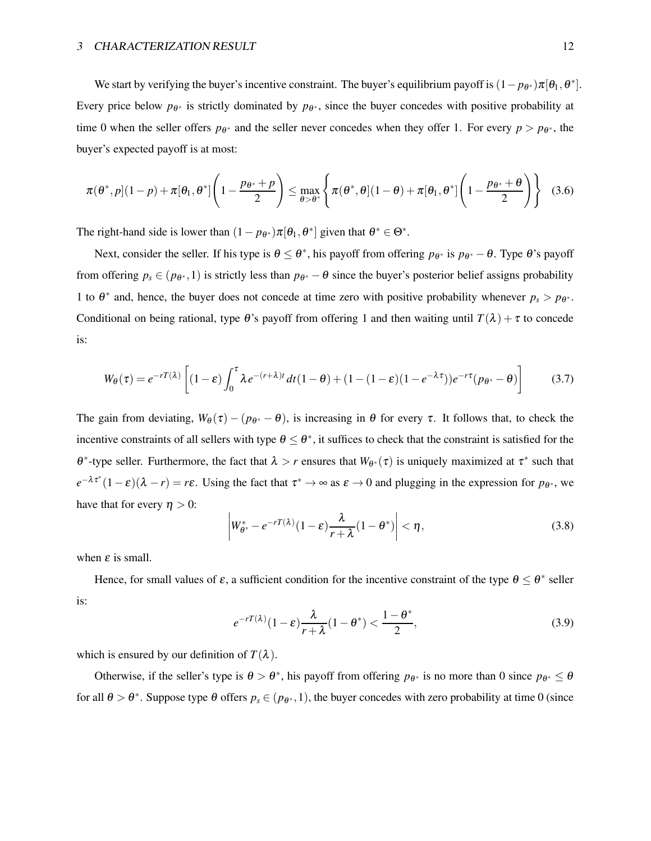#### 3 CHARACTERIZATION RESULT 12

We start by verifying the buyer's incentive constraint. The buyer's equilibrium payoff is  $(1-p_{\theta^*})\pi[\theta_1,\theta^*]$ . Every price below  $p_{\theta^*}$  is strictly dominated by  $p_{\theta^*}$ , since the buyer concedes with positive probability at time 0 when the seller offers  $p_{\theta^*}$  and the seller never concedes when they offer 1. For every  $p > p_{\theta^*}$ , the buyer's expected payoff is at most:

$$
\pi(\theta^*,p](1-p) + \pi[\theta_1,\theta^*] \left(1 - \frac{p_{\theta^*} + p}{2}\right) \leq \max_{\theta > \theta^*} \left\{ \pi(\theta^*,\theta](1-\theta) + \pi[\theta_1,\theta^*] \left(1 - \frac{p_{\theta^*} + \theta}{2}\right) \right\}
$$
(3.6)

The right-hand side is lower than  $(1 - p_{\theta^*})\pi[\theta_1, \theta^*]$  given that  $\theta^* \in \Theta^*$ .

Next, consider the seller. If his type is  $\theta \le \theta^*$ , his payoff from offering  $p_{\theta^*}$  is  $p_{\theta^*} - \theta$ . Type  $\theta$ 's payoff from offering  $p_s \in (p_{\theta^*}, 1)$  is strictly less than  $p_{\theta^*} - \theta$  since the buyer's posterior belief assigns probability 1 to  $\theta^*$  and, hence, the buyer does not concede at time zero with positive probability whenever  $p_s > p_{\theta^*}$ . Conditional on being rational, type  $\theta$ 's payoff from offering 1 and then waiting until  $T(\lambda) + \tau$  to concede is:

$$
W_{\theta}(\tau) = e^{-rT(\lambda)} \left[ (1-\varepsilon) \int_0^{\tau} \lambda e^{-(r+\lambda)t} dt (1-\theta) + (1-(1-\varepsilon)(1-e^{-\lambda \tau})) e^{-r\tau} (p_{\theta^*} - \theta) \right]
$$
(3.7)

The gain from deviating,  $W_{\theta}(\tau) - (p_{\theta^*} - \theta)$ , is increasing in  $\theta$  for every  $\tau$ . It follows that, to check the incentive constraints of all sellers with type  $\theta \leq \theta^*$ , it suffices to check that the constraint is satisfied for the θ<sup>\*</sup>-type seller. Furthermore, the fact that  $\lambda > r$  ensures that  $W_{\theta^*}(\tau)$  is uniquely maximized at  $\tau^*$  such that  $e^{-\lambda \tau^*}(1-\varepsilon)(\lambda - r) = r\varepsilon$ . Using the fact that  $\tau^* \to \infty$  as  $\varepsilon \to 0$  and plugging in the expression for  $p_{\theta^*}$ , we have that for every  $\eta > 0$ :

$$
\left| W_{\theta^*}^* - e^{-rT(\lambda)} (1 - \varepsilon) \frac{\lambda}{r + \lambda} (1 - \theta^*) \right| < \eta,\tag{3.8}
$$

when  $\varepsilon$  is small.

Hence, for small values of  $\varepsilon$ , a sufficient condition for the incentive constraint of the type  $\theta \le \theta^*$  seller is:

$$
e^{-rT(\lambda)}(1-\varepsilon)\frac{\lambda}{r+\lambda}(1-\theta^*) < \frac{1-\theta^*}{2},\tag{3.9}
$$

which is ensured by our definition of  $T(\lambda)$ .

Otherwise, if the seller's type is  $\theta > \theta^*$ , his payoff from offering  $p_{\theta^*}$  is no more than 0 since  $p_{\theta^*} \le \theta$ for all  $\theta > \theta^*$ . Suppose type  $\theta$  offers  $p_s \in (p_{\theta^*}, 1)$ , the buyer concedes with zero probability at time 0 (since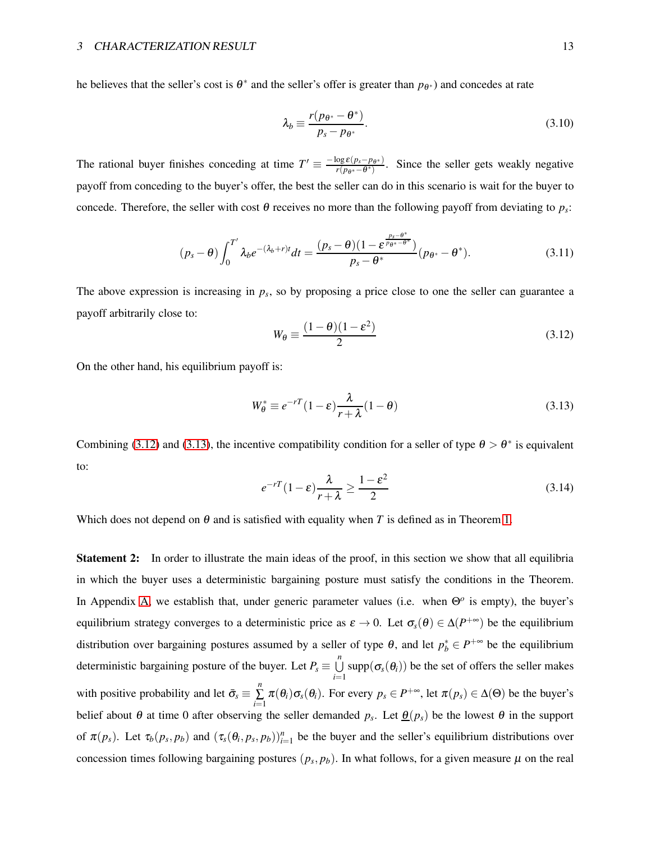he believes that the seller's cost is  $\theta^*$  and the seller's offer is greater than  $p_{\theta^*}$ ) and concedes at rate

$$
\lambda_b \equiv \frac{r(p_{\theta^*} - \theta^*)}{p_s - p_{\theta^*}}.\tag{3.10}
$$

The rational buyer finishes conceding at time  $T' \equiv \frac{-\log \varepsilon (p_s - p_{\theta^*})}{r(p_{\theta^*} - \theta^*)}$  $\frac{\log \varepsilon(p_s - p_{\theta^*})}{r(p_{\theta^*} - \theta^*)}$ . Since the seller gets weakly negative payoff from conceding to the buyer's offer, the best the seller can do in this scenario is wait for the buyer to concede. Therefore, the seller with cost θ receives no more than the following payoff from deviating to  $p_s$ :

$$
(p_s - \theta) \int_0^{T'} \lambda_b e^{-(\lambda_b + r)t} dt = \frac{(p_s - \theta)(1 - \varepsilon^{\frac{p_s - \theta^*}{p_{\theta^*} - \theta^*}})}{p_s - \theta^*} (p_{\theta^*} - \theta^*).
$$
 (3.11)

The above expression is increasing in  $p<sub>s</sub>$ , so by proposing a price close to one the seller can guarantee a payoff arbitrarily close to:

<span id="page-12-0"></span>
$$
W_{\theta} \equiv \frac{(1 - \theta)(1 - \varepsilon^2)}{2} \tag{3.12}
$$

On the other hand, his equilibrium payoff is:

<span id="page-12-1"></span>
$$
W_{\theta}^* \equiv e^{-rT} (1 - \varepsilon) \frac{\lambda}{r + \lambda} (1 - \theta)
$$
\n(3.13)

Combining [\(3.12\)](#page-12-0) and [\(3.13\)](#page-12-1), the incentive compatibility condition for a seller of type  $\theta > \theta^*$  is equivalent to:

$$
e^{-rT}(1-\varepsilon)\frac{\lambda}{r+\lambda} \ge \frac{1-\varepsilon^2}{2} \tag{3.14}
$$

Which does not depend on  $\theta$  and is satisfied with equality when *T* is defined as in Theorem [1.](#page-7-0)

**Statement 2:** In order to illustrate the main ideas of the proof, in this section we show that all equilibria in which the buyer uses a deterministic bargaining posture must satisfy the conditions in the Theorem. In Appendix [A,](#page-22-0) we establish that, under generic parameter values (i.e. when Θ*<sup>o</sup>* is empty), the buyer's equilibrium strategy converges to a deterministic price as  $\varepsilon \to 0$ . Let  $\sigma_s(\theta) \in \Delta(P^{+\infty})$  be the equilibrium distribution over bargaining postures assumed by a seller of type  $\theta$ , and let  $p_b^* \in P^{+\infty}$  be the equilibrium deterministic bargaining posture of the buyer. Let  $P_s \equiv \bigcup^n$  $\bigcup_{i=1}$  supp $(\sigma_s(\theta_i))$  be the set of offers the seller makes with positive probability and let  $\bar{\sigma}_s \equiv \sum_{i=1}^{n}$  $\sum_{i=1}^{n} \pi(\theta_i) \sigma_s(\theta_i)$ . For every  $p_s \in P^{+\infty}$ , let  $\pi(p_s) \in \Delta(\Theta)$  be the buyer's belief about  $\theta$  at time 0 after observing the seller demanded  $p_s$ . Let  $\underline{\theta}(p_s)$  be the lowest  $\theta$  in the support of  $\pi(p_s)$ . Let  $\tau_b(p_s, p_b)$  and  $(\tau_s(\theta_i, p_s, p_b))_{i=1}^n$  be the buyer and the seller's equilibrium distributions over concession times following bargaining postures  $(p_s, p_b)$ . In what follows, for a given measure  $\mu$  on the real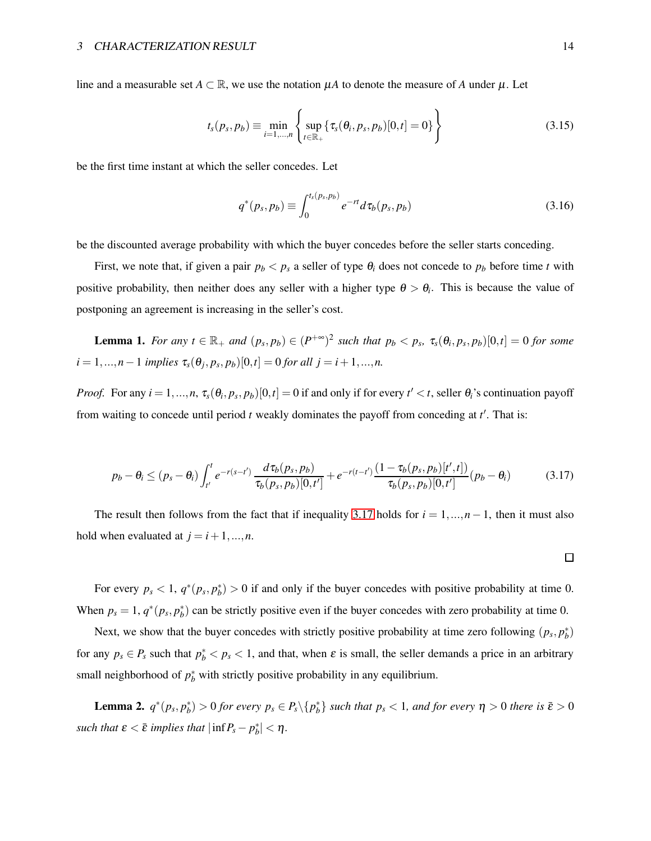line and a measurable set  $A \subset \mathbb{R}$ , we use the notation  $\mu A$  to denote the measure of *A* under  $\mu$ . Let

$$
t_s(p_s, p_b) \equiv \min_{i=1,...,n} \left\{ \sup_{t \in \mathbb{R}_+} \{ \tau_s(\theta_i, p_s, p_b) [0, t] = 0 \} \right\}
$$
 (3.15)

be the first time instant at which the seller concedes. Let

$$
q^*(p_s, p_b) \equiv \int_0^{t_s(p_s, p_b)} e^{-rt} d\tau_b(p_s, p_b)
$$
 (3.16)

be the discounted average probability with which the buyer concedes before the seller starts conceding.

First, we note that, if given a pair  $p_b < p_s$  a seller of type  $\theta_i$  does not concede to  $p_b$  before time *t* with positive probability, then neither does any seller with a higher type  $\theta > \theta_i$ . This is because the value of postponing an agreement is increasing in the seller's cost.

**Lemma 1.** For any  $t \in \mathbb{R}_+$  and  $(p_s, p_b) \in (P^{+\infty})^2$  such that  $p_b < p_s$ ,  $\tau_s(\theta_i, p_s, p_b)[0, t] = 0$  for some  $i = 1, ..., n - 1$  *implies*  $\tau_s(\theta_j, p_s, p_b)[0, t] = 0$  *for all*  $j = i + 1, ..., n$ .

*Proof.* For any  $i = 1, ..., n$ ,  $\tau_s(\theta_i, p_s, p_b)[0, t] = 0$  if and only if for every  $t' < t$ , seller  $\theta_i$ 's continuation payoff from waiting to concede until period *t* weakly dominates the payoff from conceding at *t* ′ . That is:

<span id="page-13-0"></span>
$$
p_b - \theta_i \le (p_s - \theta_i) \int_{t'}^t e^{-r(s-t')} \frac{d\tau_b(p_s, p_b)}{\tau_b(p_s, p_b)[0, t']} + e^{-r(t-t')} \frac{(1 - \tau_b(p_s, p_b)[t', t])}{\tau_b(p_s, p_b)[0, t']} (p_b - \theta_i)
$$
(3.17)

The result then follows from the fact that if inequality [3.17](#page-13-0) holds for  $i = 1, ..., n-1$ , then it must also hold when evaluated at  $j = i+1, ..., n$ .

For every  $p_s < 1$ ,  $q^*(p_s, p_b^*) > 0$  if and only if the buyer concedes with positive probability at time 0. When  $p_s = 1$ ,  $q^*(p_s, p_b^*)$  can be strictly positive even if the buyer concedes with zero probability at time 0.

Next, we show that the buyer concedes with strictly positive probability at time zero following  $(p_s, p_b^*)$ for any  $p_s \in P_s$  such that  $p_b^* < p_s < 1$ , and that, when  $\varepsilon$  is small, the seller demands a price in an arbitrary small neighborhood of  $p_b^*$  with strictly positive probability in any equilibrium.

<span id="page-13-1"></span>**Lemma 2.**  $q^*(p_s, p_b^*) > 0$  for every  $p_s \in P_s \setminus \{p_b^*\}$  such that  $p_s < 1$ , and for every  $\eta > 0$  there is  $\bar{\varepsilon} > 0$ *such that*  $\varepsilon < \bar{\varepsilon}$  *implies that*  $|\inf P_s - p_b^*| < \eta$ .

 $\Box$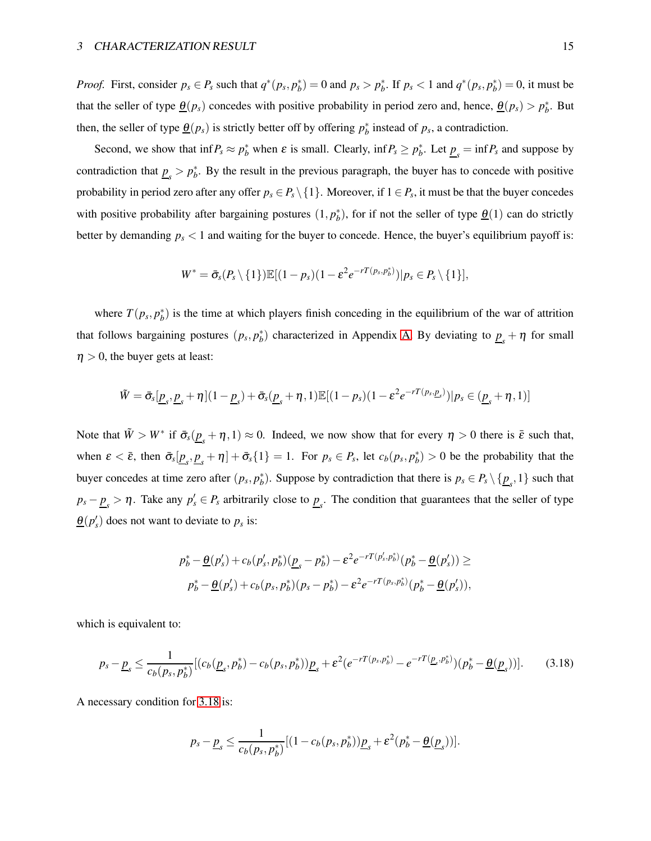*Proof.* First, consider  $p_s \in P_s$  such that  $q^*(p_s, p_b^*) = 0$  and  $p_s > p_b^*$ . If  $p_s < 1$  and  $q^*(p_s, p_b^*) = 0$ , it must be that the seller of type  $\underline{\theta}(p_s)$  concedes with positive probability in period zero and, hence,  $\underline{\theta}(p_s) > p_b^*$ . But then, the seller of type  $\underline{\theta}(p_s)$  is strictly better off by offering  $p_b^*$  instead of  $p_s$ , a contradiction.

Second, we show that  $\inf P_s \approx p_b^*$  when  $\varepsilon$  is small. Clearly,  $\inf P_s \ge p_b^*$ . Let  $\underline{p}_s = \inf P_s$  and suppose by contradiction that  $p_s > p_b^*$ . By the result in the previous paragraph, the buyer has to concede with positive probability in period zero after any offer  $p_s \in P_s \setminus \{1\}$ . Moreover, if  $1 \in P_s$ , it must be that the buyer concedes with positive probability after bargaining postures  $(1, p_b^*)$ , for if not the seller of type  $\underline{\theta}(1)$  can do strictly better by demanding *p<sup>s</sup>* < 1 and waiting for the buyer to concede. Hence, the buyer's equilibrium payoff is:

$$
W^* = \bar{\sigma}_s(P_s \setminus \{1\}) \mathbb{E}[(1-p_s)(1-\varepsilon^2 e^{-rT(p_s, p_b^*)})|p_s \in P_s \setminus \{1\}],
$$

where  $T(p_s, p_b^*)$  is the time at which players finish conceding in the equilibrium of the war of attrition that follows bargaining postures  $(p_s, p_b^*)$  characterized in Appendix [A.](#page-22-0) By deviating to  $\underline{p}_s + \eta$  for small  $\eta > 0$ , the buyer gets at least:

$$
\tilde{W} = \bar{\sigma}_s[\underline{p}_s, \underline{p}_s + \eta](1 - \underline{p}_s) + \bar{\sigma}_s(\underline{p}_s + \eta, 1)\mathbb{E}[(1 - p_s)(1 - \varepsilon^2 e^{-rT(p_s, \underline{p}_s)})|p_s \in (\underline{p}_s + \eta, 1)]
$$

Note that  $\tilde{W} > W^*$  if  $\bar{\sigma}_s(\underline{p}_s + \eta, 1) \approx 0$ . Indeed, we now show that for every  $\eta > 0$  there is  $\bar{\varepsilon}$  such that, when  $\varepsilon < \bar{\varepsilon}$ , then  $\bar{\sigma}_s[\underline{p}_s, \underline{p}_s + \eta] + \bar{\sigma}_s\{1\} = 1$ . For  $p_s \in P_s$ , let  $c_b(p_s, p_b^*) > 0$  be the probability that the buyer concedes at time zero after  $(p_s, p_b^*)$ . Suppose by contradiction that there is  $p_s \in P_s \setminus \{p_s, 1\}$  such that  $p_s - \underline{p}_s > \eta$ . Take any  $p'_s \in P_s$  arbitrarily close to  $\underline{p}_s$ . The condition that guarantees that the seller of type  $\underline{\theta}(p'_{s})$  does not want to deviate to  $p_{s}$  is:

$$
p_b^* - \underline{\theta}(p_s') + c_b(p_s', p_b^*)(\underline{p}_s - p_b^*) - \varepsilon^2 e^{-rT(p_s', p_b^*)}(p_b^* - \underline{\theta}(p_s')) \ge
$$
  

$$
p_b^* - \underline{\theta}(p_s') + c_b(p_s, p_b^*)(p_s - p_b^*) - \varepsilon^2 e^{-rT(p_s, p_b^*)}(p_b^* - \underline{\theta}(p_s')),
$$

which is equivalent to:

$$
p_s - \underline{p}_s \le \frac{1}{c_b(p_s, p_b^*)} [(c_b(\underline{p}_s, p_b^*) - c_b(p_s, p_b^*)) \underline{p}_s + \varepsilon^2 (e^{-rT(p_s, p_b^*)} - e^{-rT(\underline{p}_s, p_b^*)}) (p_b^* - \underline{\theta}(\underline{p}_s))].
$$
 (3.18)

A necessary condition for [3.18](#page-14-0) is:

<span id="page-14-0"></span>
$$
p_s - \underline{p}_s \leq \frac{1}{c_b(p_s, p_b^*)} [(1 - c_b(p_s, p_b^*)) \underline{p}_s + \varepsilon^2 (p_b^* - \underline{\theta}(\underline{p}_s))].
$$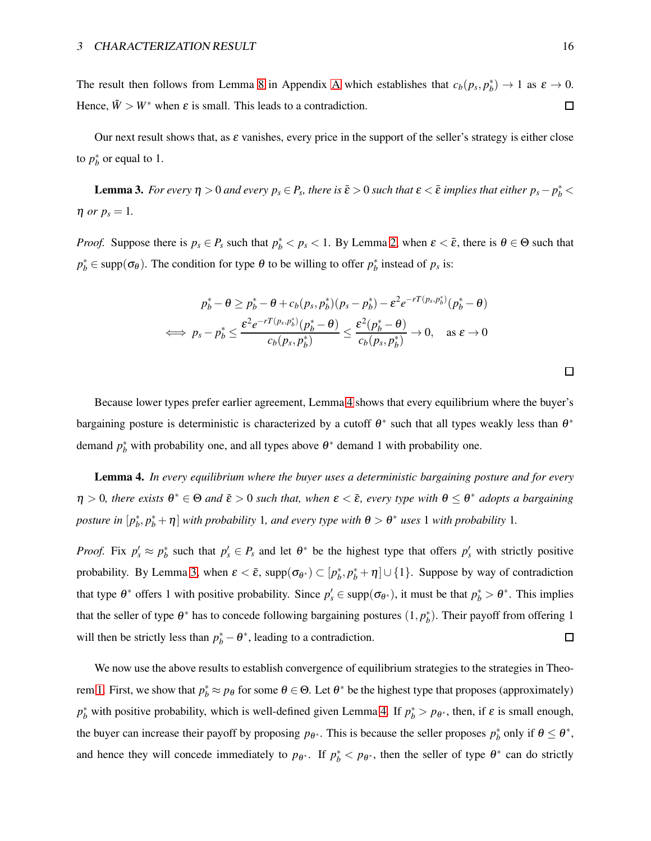The result then follows from Lemma [8](#page-24-0) in [A](#page-22-0)ppendix A which establishes that  $c_b(p_s, p_b^*) \to 1$  as  $\varepsilon \to 0$ . Hence,  $\tilde{W} > W^*$  when  $\varepsilon$  is small. This leads to a contradiction.  $\Box$ 

<span id="page-15-1"></span>Our next result shows that, as  $\varepsilon$  vanishes, every price in the support of the seller's strategy is either close to  $p_b^*$  or equal to 1.

**Lemma 3.** For every  $\eta > 0$  and every  $p_s \in P_s$ , there is  $\bar{\varepsilon} > 0$  such that  $\varepsilon < \bar{\varepsilon}$  implies that either  $p_s - p_b^* <$  $\eta$  *or*  $p_s = 1$ .

*Proof.* Suppose there is  $p_s \in P_s$  such that  $p_b^* < p_s < 1$ . By Lemma [2,](#page-13-1) when  $\varepsilon < \bar{\varepsilon}$ , there is  $\theta \in \Theta$  such that  $p_b^* \in \text{supp}(\sigma_\theta)$ . The condition for type  $\theta$  to be willing to offer  $p_b^*$  instead of  $p_s$  is:

$$
p_b^* - \theta \ge p_b^* - \theta + c_b(p_s, p_b^*)(p_s - p_b^*) - \varepsilon^2 e^{-rT(p_s, p_b^*)}(p_b^* - \theta)
$$
  

$$
\iff p_s - p_b^* \le \frac{\varepsilon^2 e^{-rT(p_s, p_b^*)}(p_b^* - \theta)}{c_b(p_s, p_b^*)} \le \frac{\varepsilon^2(p_b^* - \theta)}{c_b(p_s, p_b^*)} \to 0, \quad \text{as } \varepsilon \to 0
$$

Because lower types prefer earlier agreement, Lemma [4](#page-15-0) shows that every equilibrium where the buyer's bargaining posture is deterministic is characterized by a cutoff  $\theta^*$  such that all types weakly less than  $\theta^*$ demand  $p_b^*$  with probability one, and all types above  $\theta^*$  demand 1 with probability one.

<span id="page-15-0"></span>Lemma 4. *In every equilibrium where the buyer uses a deterministic bargaining posture and for every*  $\eta > 0$ , there exists  $\theta^* \in \Theta$  and  $\bar{\varepsilon} > 0$  such that, when  $\varepsilon < \bar{\varepsilon}$ , every type with  $\theta \leq \theta^*$  adopts a bargaining *posture in*  $[p_b^*, p_b^* + \eta]$  *with probability* 1*, and every type with*  $\theta > \theta^*$  *uses* 1 *with probability* 1*.* 

*Proof.* Fix  $p'_s \approx p_b^*$  such that  $p'_s \in P_s$  and let  $\theta^*$  be the highest type that offers  $p'_s$  with strictly positive probability. By Lemma [3,](#page-15-1) when  $\varepsilon < \bar{\varepsilon}$ , supp $(\sigma_{\theta^*}) \subset [p_b^*, p_b^* + \eta] \cup \{1\}$ . Suppose by way of contradiction that type  $\theta^*$  offers 1 with positive probability. Since  $p'_s \in \text{supp}(\sigma_{\theta^*})$ , it must be that  $p_b^* > \theta^*$ . This implies that the seller of type  $\theta^*$  has to concede following bargaining postures  $(1, p_b^*)$ . Their payoff from offering 1 will then be strictly less than  $p_b^* - \theta^*$ , leading to a contradiction.  $\Box$ 

We now use the above results to establish convergence of equilibrium strategies to the strategies in Theo-rem [1.](#page-7-0) First, we show that  $p_b^* \approx p_\theta$  for some  $\theta \in \Theta$ . Let  $\theta^*$  be the highest type that proposes (approximately)  $p_b^*$  with positive probability, which is well-defined given Lemma [4.](#page-15-0) If  $p_b^* > p_{\theta^*}$ , then, if  $\varepsilon$  is small enough, the buyer can increase their payoff by proposing  $p_{\theta^*}$ . This is because the seller proposes  $p_b^*$  only if  $\theta \le \theta^*$ , and hence they will concede immediately to  $p_{\theta^*}$ . If  $p_b^* < p_{\theta^*}$ , then the seller of type  $\theta^*$  can do strictly

口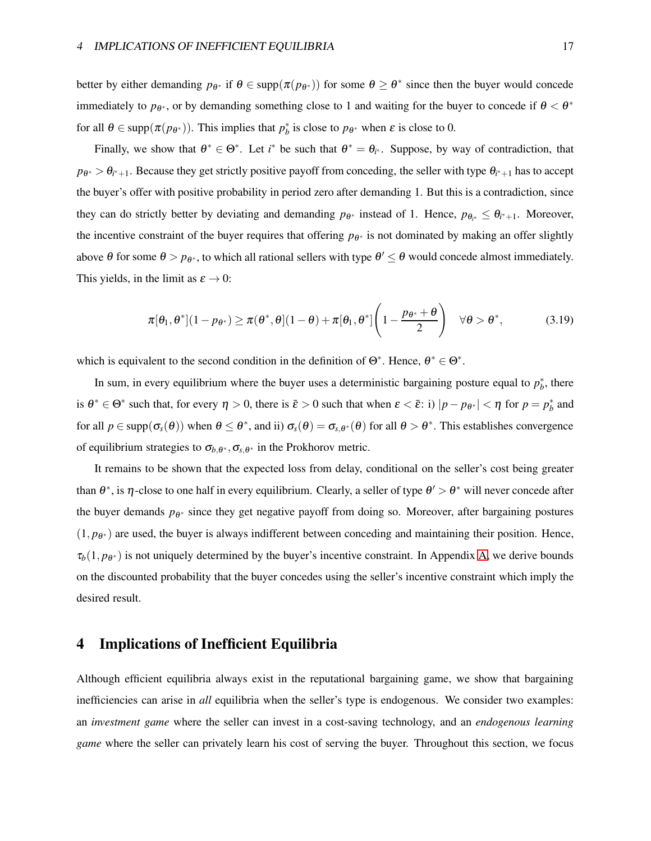better by either demanding  $p_{\theta^*}$  if  $\theta \in \text{supp}(\pi(p_{\theta^*}))$  for some  $\theta \ge \theta^*$  since then the buyer would concede immediately to  $p_{\theta^*}$ , or by demanding something close to 1 and waiting for the buyer to concede if  $\theta < \theta^*$ for all  $\theta \in \text{supp}(\pi(p_{\theta^*}))$ . This implies that  $p_b^*$  is close to  $p_{\theta^*}$  when  $\varepsilon$  is close to 0.

Finally, we show that  $\theta^* \in \Theta^*$ . Let *i*<sup>\*</sup> be such that  $\theta^* = \theta_{i^*}$ . Suppose, by way of contradiction, that  $p_{\theta^*} > \theta_{i^*+1}$ . Because they get strictly positive payoff from conceding, the seller with type  $\theta_{i^*+1}$  has to accept the buyer's offer with positive probability in period zero after demanding 1. But this is a contradiction, since they can do strictly better by deviating and demanding  $p_{\theta^*}$  instead of 1. Hence,  $p_{\theta_{i^*}} \leq \theta_{i^*+1}$ . Moreover, the incentive constraint of the buyer requires that offering  $p_{\theta^*}$  is not dominated by making an offer slightly above  $\theta$  for some  $\theta > p_{\theta^*}$ , to which all rational sellers with type  $\theta' \leq \theta$  would concede almost immediately. This yields, in the limit as  $\varepsilon \to 0$ :

$$
\pi[\theta_1, \theta^*](1-p_{\theta^*}) \ge \pi(\theta^*, \theta](1-\theta) + \pi[\theta_1, \theta^*]\left(1-\frac{p_{\theta^*}+\theta}{2}\right) \quad \forall \theta > \theta^*, \tag{3.19}
$$

which is equivalent to the second condition in the definition of  $\Theta^*$ . Hence,  $\theta^* \in \Theta^*$ .

In sum, in every equilibrium where the buyer uses a deterministic bargaining posture equal to  $p_b^*$ , there is  $\theta^* \in \Theta^*$  such that, for every  $\eta > 0$ , there is  $\bar{\varepsilon} > 0$  such that when  $\varepsilon < \bar{\varepsilon}$ : i)  $|p - p_{\theta^*}| < \eta$  for  $p = p_b^*$  and for all  $p \in \text{supp}(\sigma_s(\theta))$  when  $\theta \leq \theta^*$ , and ii)  $\sigma_s(\theta) = \sigma_{s,\theta^*}(\theta)$  for all  $\theta > \theta^*$ . This establishes convergence of equilibrium strategies to  $\sigma_{b,\theta^*}, \sigma_{s,\theta^*}$  in the Prokhorov metric.

It remains to be shown that the expected loss from delay, conditional on the seller's cost being greater than  $\theta^*$ , is  $\eta$ -close to one half in every equilibrium. Clearly, a seller of type  $\theta' > \theta^*$  will never concede after the buyer demands  $p_{\theta^*}$  since they get negative payoff from doing so. Moreover, after bargaining postures  $(1, p_{\theta^*})$  are used, the buyer is always indifferent between conceding and maintaining their position. Hence,  $\tau_b(1, p_{\theta^*})$  is not uniquely determined by the buyer's incentive constraint. In Appendix [A,](#page-22-0) we derive bounds on the discounted probability that the buyer concedes using the seller's incentive constraint which imply the desired result.

# <span id="page-16-0"></span>4 Implications of Inefficient Equilibria

Although efficient equilibria always exist in the reputational bargaining game, we show that bargaining inefficiencies can arise in *all* equilibria when the seller's type is endogenous. We consider two examples: an *investment game* where the seller can invest in a cost-saving technology, and an *endogenous learning game* where the seller can privately learn his cost of serving the buyer. Throughout this section, we focus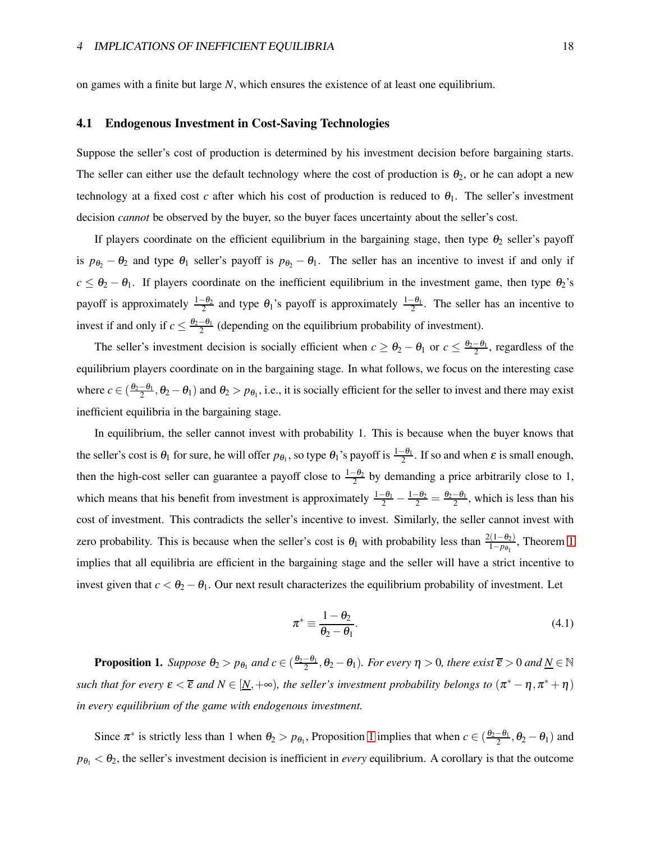<span id="page-17-2"></span>on games with a finite but large *N*, which ensures the existence of at least one equilibrium.

#### 4.1 Endogenous Investment in Cost-Saving Technologies

Suppose the seller's cost of production is determined by his investment decision before bargaining starts. The seller can either use the default technology where the cost of production is  $\theta_2$ , or he can adopt a new technology at a fixed cost *c* after which his cost of production is reduced to  $\theta_1$ . The seller's investment decision *cannot* be observed by the buyer, so the buyer faces uncertainty about the seller's cost.

If players coordinate on the efficient equilibrium in the bargaining stage, then type  $\theta_2$  seller's payoff is  $p_{\theta_2} - \theta_2$  and type  $\theta_1$  seller's payoff is  $p_{\theta_2} - \theta_1$ . The seller has an incentive to invest if and only if  $c \leq \theta_2 - \theta_1$ . If players coordinate on the inefficient equilibrium in the investment game, then type  $\theta_2$ 's payoff is approximately  $\frac{1-\theta_2}{2}$  and type  $\theta_1$ 's payoff is approximately  $\frac{1-\theta_1}{2}$ . The seller has an incentive to invest if and only if  $c \leq \frac{\theta_2 - \theta_1}{2}$  (depending on the equilibrium probability of investment).

The seller's investment decision is socially efficient when  $c \ge \theta_2 - \theta_1$  or  $c \le \frac{\theta_2 - \theta_1}{2}$ , regardless of the equilibrium players coordinate on in the bargaining stage. In what follows, we focus on the interesting case where  $c \in (\frac{\theta_2-\theta_1}{2}, \theta_2-\theta_1)$  and  $\theta_2 > p_{\theta_1}$ , i.e., it is socially efficient for the seller to invest and there may exist inefficient equilibria in the bargaining stage.

In equilibrium, the seller cannot invest with probability 1. This is because when the buyer knows that the seller's cost is  $\theta_1$  for sure, he will offer  $p_{\theta_1}$ , so type  $\theta_1$ 's payoff is  $\frac{1-\theta_1}{2}$ . If so and when  $\varepsilon$  is small enough, then the high-cost seller can guarantee a payoff close to  $\frac{1-\theta_2}{2}$  by demanding a price arbitrarily close to 1, which means that his benefit from investment is approximately  $\frac{1-\theta_1}{2} - \frac{1-\theta_2}{2} = \frac{\theta_2-\theta_1}{2}$ , which is less than his cost of investment. This contradicts the seller's incentive to invest. Similarly, the seller cannot invest with zero probability. This is because when the seller's cost is  $\theta_1$  with probability less than  $\frac{2(1-\theta_2)}{1-p_{\theta_1}}$ , Theorem [1](#page-7-0) implies that all equilibria are efficient in the bargaining stage and the seller will have a strict incentive to invest given that  $c < \theta_2 - \theta_1$ . Our next result characterizes the equilibrium probability of investment. Let

<span id="page-17-1"></span>
$$
\pi^* \equiv \frac{1 - \theta_2}{\theta_2 - \theta_1}.\tag{4.1}
$$

<span id="page-17-0"></span>**Proposition 1.** Suppose  $\theta_2 > p_{\theta_1}$  and  $c \in (\frac{\theta_2-\theta_1}{2},\theta_2-\theta_1)$ . For every  $\eta > 0$ , there exist  $\overline{\epsilon} > 0$  and  $\underline{N} \in \mathbb{N}$ *such that for every*  $\varepsilon < \overline{\varepsilon}$  *and*  $N \in [N, +\infty)$ *, the seller's investment probability belongs to*  $(\pi^* - \eta, \pi^* + \eta)$ *in every equilibrium of the game with endogenous investment.*

Since  $\pi^*$  is strictly less than [1](#page-17-0) when  $\theta_2 > p_{\theta_1}$ , Proposition 1 implies that when  $c \in (\frac{\theta_2-\theta_1}{2}, \theta_2-\theta_1)$  and  $p_{\theta_1} < \theta_2$ , the seller's investment decision is inefficient in *every* equilibrium. A corollary is that the outcome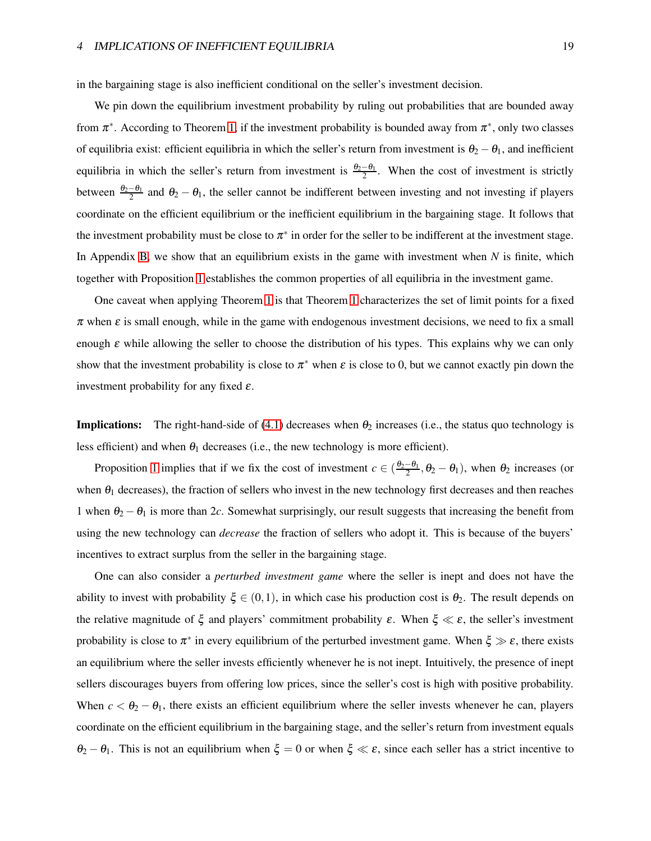in the bargaining stage is also inefficient conditional on the seller's investment decision.

We pin down the equilibrium investment probability by ruling out probabilities that are bounded away from  $\pi^*$ . According to Theorem [1,](#page-7-0) if the investment probability is bounded away from  $\pi^*$ , only two classes of equilibria exist: efficient equilibria in which the seller's return from investment is  $\theta_2 - \theta_1$ , and inefficient equilibria in which the seller's return from investment is  $\frac{\theta_2-\theta_1}{2}$ . When the cost of investment is strictly between  $\frac{\theta_2-\theta_1}{2}$  and  $\theta_2-\theta_1$ , the seller cannot be indifferent between investing and not investing if players coordinate on the efficient equilibrium or the inefficient equilibrium in the bargaining stage. It follows that the investment probability must be close to  $\pi^*$  in order for the seller to be indifferent at the investment stage. In Appendix [B,](#page-29-0) we show that an equilibrium exists in the game with investment when *N* is finite, which together with Proposition [1](#page-17-0) establishes the common properties of all equilibria in the investment game.

One caveat when applying Theorem [1](#page-7-0) is that Theorem [1](#page-7-0) characterizes the set of limit points for a fixed  $\pi$  when  $\varepsilon$  is small enough, while in the game with endogenous investment decisions, we need to fix a small enough  $\varepsilon$  while allowing the seller to choose the distribution of his types. This explains why we can only show that the investment probability is close to  $\pi^*$  when  $\varepsilon$  is close to 0, but we cannot exactly pin down the investment probability for any fixed  $\varepsilon$ .

**Implications:** The right-hand-side of [\(4.1\)](#page-17-1) decreases when  $\theta_2$  increases (i.e., the status quo technology is less efficient) and when  $\theta_1$  decreases (i.e., the new technology is more efficient).

Proposition [1](#page-17-0) implies that if we fix the cost of investment  $c \in (\frac{\theta_2-\theta_1}{2}, \theta_2-\theta_1)$ , when  $\theta_2$  increases (or when  $\theta_1$  decreases), the fraction of sellers who invest in the new technology first decreases and then reaches 1 when  $\theta_2 - \theta_1$  is more than 2*c*. Somewhat surprisingly, our result suggests that increasing the benefit from using the new technology can *decrease* the fraction of sellers who adopt it. This is because of the buyers' incentives to extract surplus from the seller in the bargaining stage.

One can also consider a *perturbed investment game* where the seller is inept and does not have the ability to invest with probability  $\xi \in (0,1)$ , in which case his production cost is  $\theta_2$ . The result depends on the relative magnitude of  $\xi$  and players' commitment probability  $\varepsilon$ . When  $\xi \ll \varepsilon$ , the seller's investment probability is close to  $\pi^*$  in every equilibrium of the perturbed investment game. When  $\xi \gg \varepsilon$ , there exists an equilibrium where the seller invests efficiently whenever he is not inept. Intuitively, the presence of inept sellers discourages buyers from offering low prices, since the seller's cost is high with positive probability. When  $c < \theta_2 - \theta_1$ , there exists an efficient equilibrium where the seller invests whenever he can, players coordinate on the efficient equilibrium in the bargaining stage, and the seller's return from investment equals  $\theta_2 - \theta_1$ . This is not an equilibrium when  $\xi = 0$  or when  $\xi \ll \varepsilon$ , since each seller has a strict incentive to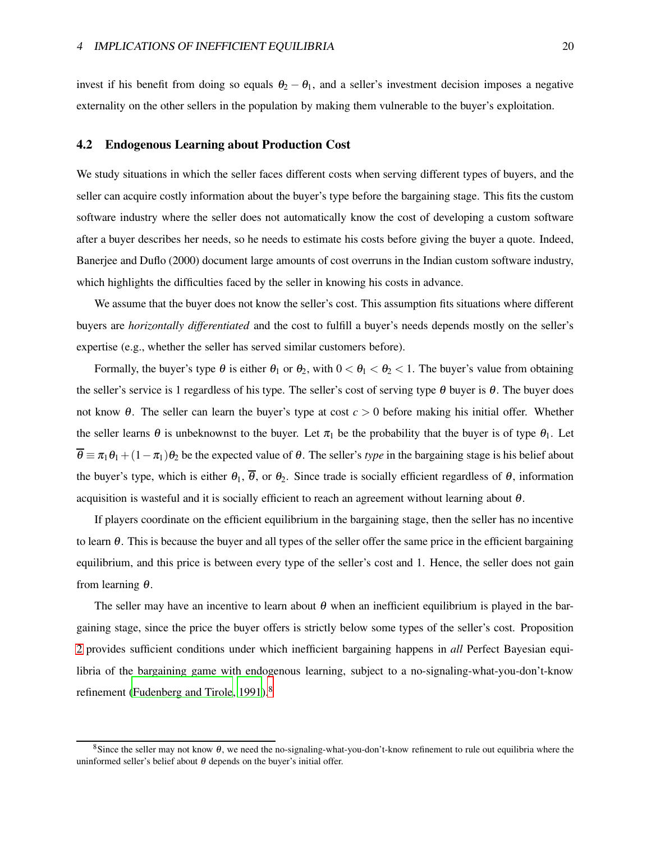<span id="page-19-1"></span>invest if his benefit from doing so equals  $\theta_2 - \theta_1$ , and a seller's investment decision imposes a negative externality on the other sellers in the population by making them vulnerable to the buyer's exploitation.

#### 4.2 Endogenous Learning about Production Cost

We study situations in which the seller faces different costs when serving different types of buyers, and the seller can acquire costly information about the buyer's type before the bargaining stage. This fits the custom software industry where the seller does not automatically know the cost of developing a custom software after a buyer describes her needs, so he needs to estimate his costs before giving the buyer a quote. Indeed, Banerjee and Duflo (2000) document large amounts of cost overruns in the Indian custom software industry, which highlights the difficulties faced by the seller in knowing his costs in advance.

We assume that the buyer does not know the seller's cost. This assumption fits situations where different buyers are *horizontally differentiated* and the cost to fulfill a buyer's needs depends mostly on the seller's expertise (e.g., whether the seller has served similar customers before).

Formally, the buyer's type  $\theta$  is either  $\theta_1$  or  $\theta_2$ , with  $0 < \theta_1 < \theta_2 < 1$ . The buyer's value from obtaining the seller's service is 1 regardless of his type. The seller's cost of serving type  $\theta$  buyer is  $\theta$ . The buyer does not know <sup>θ</sup>. The seller can learn the buyer's type at cost *c* > 0 before making his initial offer. Whether the seller learns  $\theta$  is unbeknownst to the buyer. Let  $\pi_1$  be the probability that the buyer is of type  $\theta_1$ . Let  $\overline{\theta} = \pi_1 \theta_1 + (1 - \pi_1) \theta_2$  be the expected value of  $\theta$ . The seller's *type* in the bargaining stage is his belief about the buyer's type, which is either  $\theta_1$ ,  $\overline{\theta}$ , or  $\theta_2$ . Since trade is socially efficient regardless of  $\theta$ , information acquisition is wasteful and it is socially efficient to reach an agreement without learning about  $\theta$ .

If players coordinate on the efficient equilibrium in the bargaining stage, then the seller has no incentive to learn  $\theta$ . This is because the buyer and all types of the seller offer the same price in the efficient bargaining equilibrium, and this price is between every type of the seller's cost and 1. Hence, the seller does not gain from learning <sup>θ</sup>.

The seller may have an incentive to learn about  $\theta$  when an inefficient equilibrium is played in the bargaining stage, since the price the buyer offers is strictly below some types of the seller's cost. Proposition [2](#page-19-0) provides sufficient conditions under which inefficient bargaining happens in *all* Perfect Bayesian equilibria of the bargaining game with endogenous learning, subject to a no-signaling-what-you-don't-know refinement [\(Fudenberg and Tirole](#page-33-11), [1991](#page-33-11)).<sup>8</sup>

<span id="page-19-0"></span><sup>&</sup>lt;sup>8</sup>Since the seller may not know  $\theta$ , we need the no-signaling-what-you-don't-know refinement to rule out equilibria where the uninformed seller's belief about  $\theta$  depends on the buyer's initial offer.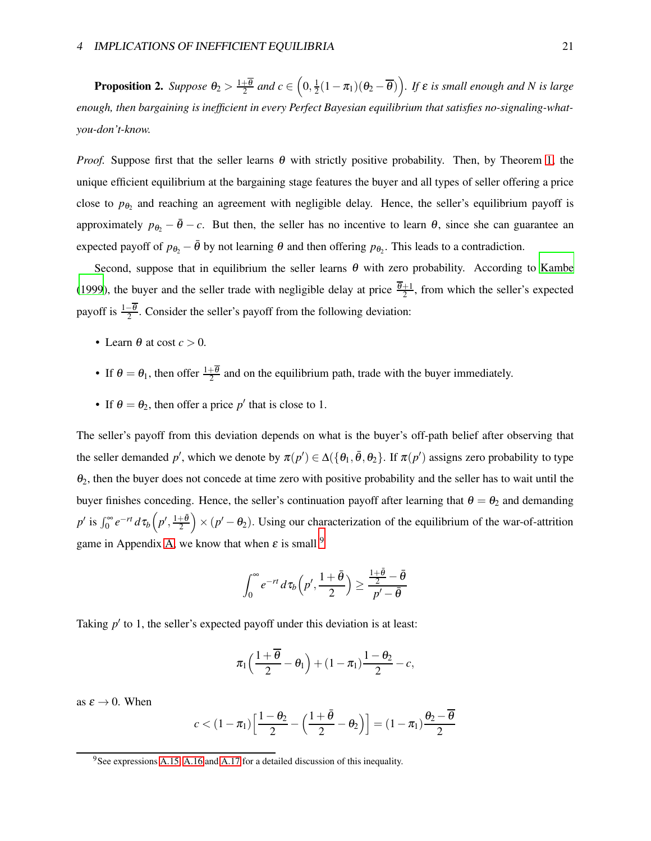**Proposition 2.** Suppose  $\theta_2 > \frac{1+\overline{\theta}}{2}$  and  $c \in \left(0, \frac{1}{2}\right)$  $\frac{1}{2}(1-\pi_1)(\theta_2-\overline{\theta})\Big)$ *. If*  $\varepsilon$  *is small enough and N is large enough, then bargaining is inefficient in every Perfect Bayesian equilibrium that satisfies no-signaling-whatyou-don't-know.*

*Proof.* Suppose first that the seller learns  $\theta$  with strictly positive probability. Then, by Theorem [1,](#page-7-0) the unique efficient equilibrium at the bargaining stage features the buyer and all types of seller offering a price close to  $p_{\theta_2}$  and reaching an agreement with negligible delay. Hence, the seller's equilibrium payoff is approximately  $p_{\theta_2} - \bar{\theta} - c$ . But then, the seller has no incentive to learn  $\theta$ , since she can guarantee an expected payoff of  $p_{\theta_2} - \bar{\theta}$  by not learning  $\theta$  and then offering  $p_{\theta_2}$ . This leads to a contradiction.

Second, suppose that in equilibrium the seller learns  $\theta$  with zero probability. According to [Kambe](#page-34-1) [\(1999](#page-34-1)), the buyer and the seller trade with negligible delay at price  $\frac{\theta+1}{2}$ , from which the seller's expected payoff is  $\frac{1-\theta}{2}$ . Consider the seller's payoff from the following deviation:

- Learn  $\theta$  at cost  $c > 0$ .
- If  $\theta = \theta_1$ , then offer  $\frac{1+\theta}{2}$  and on the equilibrium path, trade with the buyer immediately.
- If  $\theta = \theta_2$ , then offer a price p' that is close to 1.

The seller's payoff from this deviation depends on what is the buyer's off-path belief after observing that the seller demanded p', which we denote by  $\pi(p') \in \Delta(\{\theta_1, \bar{\theta}, \theta_2\})$ . If  $\pi(p')$  assigns zero probability to type  $\theta_2$ , then the buyer does not concede at time zero with positive probability and the seller has to wait until the buyer finishes conceding. Hence, the seller's continuation payoff after learning that  $\theta = \theta_2$  and demanding *p*<sup> $\prime$ </sup> is  $\int_0^\infty e^{-rt} d\tau_b\left(p', \frac{1+\bar{\theta}}{2}\right) \times (p'-\theta_2)$ . Using our characterization of the equilibrium of the war-of-attrition game in Appendix [A,](#page-22-0) we know that when  $\varepsilon$  is small <sup>9</sup>

$$
\int_0^\infty e^{-rt} d\tau_b\left(p',\frac{1+\bar{\theta}}{2}\right) \geq \frac{\frac{1+\bar{\theta}}{2}-\bar{\theta}}{p'-\bar{\theta}}
$$

Taking  $p'$  to 1, the seller's expected payoff under this deviation is at least:

$$
\pi_1\Big(\frac{1+\overline{\theta}}{2}-\theta_1\Big)+(1-\pi_1)\frac{1-\theta_2}{2}-c,
$$

as  $\varepsilon \to 0$ . When

$$
c < (1 - \pi_1) \left[ \frac{1 - \theta_2}{2} - \left( \frac{1 + \bar{\theta}}{2} - \theta_2 \right) \right] = (1 - \pi_1) \frac{\theta_2 - \overline{\theta}}{2}
$$

 $9$ See expressions [A.15,](#page-28-0) [A.16](#page-28-1) and [A.17](#page-29-1) for a detailed discussion of this inequality.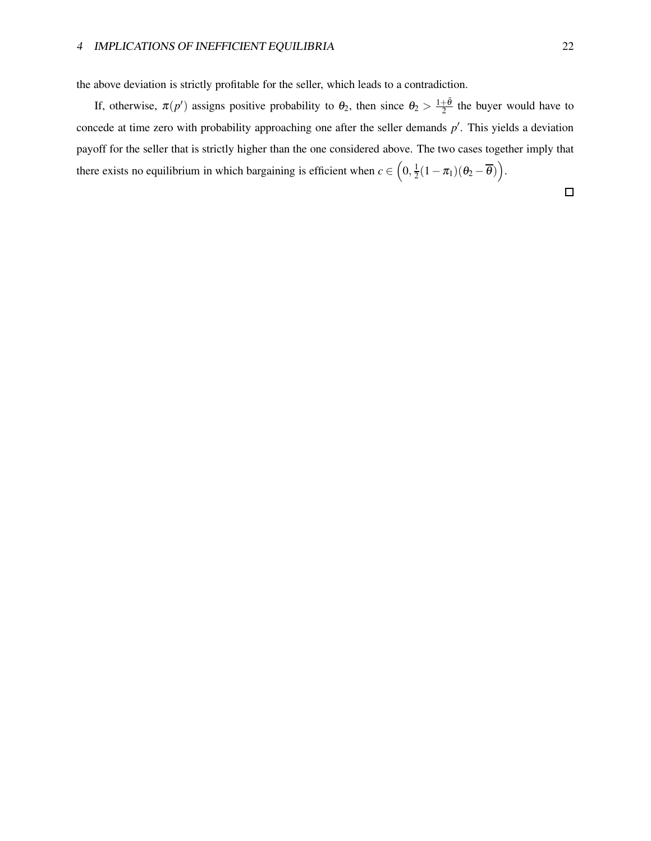the above deviation is strictly profitable for the seller, which leads to a contradiction.

If, otherwise,  $\pi(p')$  assigns positive probability to  $\theta_2$ , then since  $\theta_2 > \frac{1+\bar{\theta}}{2}$  the buyer would have to concede at time zero with probability approaching one after the seller demands p'. This yields a deviation payoff for the seller that is strictly higher than the one considered above. The two cases together imply that there exists no equilibrium in which bargaining is efficient when  $c \in (0, \frac{1}{2})$  $\frac{1}{2}(1-\pi_1)(\theta_2-\overline{\theta})\Big).$ 

 $\Box$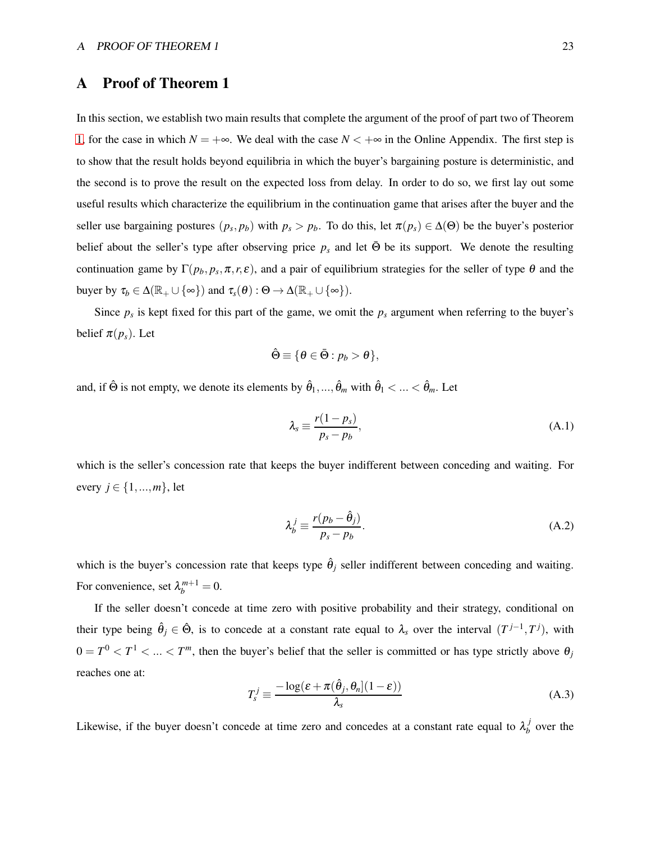# <span id="page-22-0"></span>A Proof of Theorem 1

In this section, we establish two main results that complete the argument of the proof of part two of Theorem [1,](#page-7-0) for the case in which  $N = +\infty$ . We deal with the case  $N < +\infty$  in the Online Appendix. The first step is to show that the result holds beyond equilibria in which the buyer's bargaining posture is deterministic, and the second is to prove the result on the expected loss from delay. In order to do so, we first lay out some useful results which characterize the equilibrium in the continuation game that arises after the buyer and the seller use bargaining postures  $(p_s, p_b)$  with  $p_s > p_b$ . To do this, let  $\pi(p_s) \in \Delta(\Theta)$  be the buyer's posterior belief about the seller's type after observing price  $p_s$  and let  $\bar{\Theta}$  be its support. We denote the resulting continuation game by  $\Gamma(p_b, p_s, \pi, r, \varepsilon)$ , and a pair of equilibrium strategies for the seller of type  $\theta$  and the buyer by  $\tau_b \in \Delta(\mathbb{R}_+ \cup \{\infty\})$  and  $\tau_s(\theta) : \Theta \to \Delta(\mathbb{R}_+ \cup \{\infty\})$ .

Since  $p_s$  is kept fixed for this part of the game, we omit the  $p_s$  argument when referring to the buyer's belief  $\pi(p_s)$ . Let

$$
\hat{\Theta} \equiv \{ \theta \in \bar{\Theta} : p_b > \theta \},
$$

and, if  $\hat{\Theta}$  is not empty, we denote its elements by  $\hat{\theta}_1,...,\hat{\theta}_m$  with  $\hat{\theta}_1<...<\hat{\theta}_m.$  Let

$$
\lambda_s \equiv \frac{r(1 - p_s)}{p_s - p_b},\tag{A.1}
$$

which is the seller's concession rate that keeps the buyer indifferent between conceding and waiting. For every  $j \in \{1, ..., m\}$ , let

$$
\lambda_b^j \equiv \frac{r(p_b - \hat{\theta}_j)}{p_s - p_b}.
$$
\n(A.2)

which is the buyer's concession rate that keeps type  $\hat{\theta}_j$  seller indifferent between conceding and waiting. For convenience, set  $\lambda_b^{m+1} = 0$ .

If the seller doesn't concede at time zero with positive probability and their strategy, conditional on their type being  $\hat{\theta}_j \in \hat{\Theta}$ , is to concede at a constant rate equal to  $\lambda_s$  over the interval  $(T^{j-1}, T^j)$ , with  $0 = T^0 < T^1 < ... < T^m$ , then the buyer's belief that the seller is committed or has type strictly above  $\theta_j$ reaches one at:

$$
T_s^j \equiv \frac{-\log(\varepsilon + \pi(\hat{\theta}_j, \theta_n](1 - \varepsilon))}{\lambda_s} \tag{A.3}
$$

Likewise, if the buyer doesn't concede at time zero and concedes at a constant rate equal to  $\lambda_h^j$  $\frac{f}{b}$  over the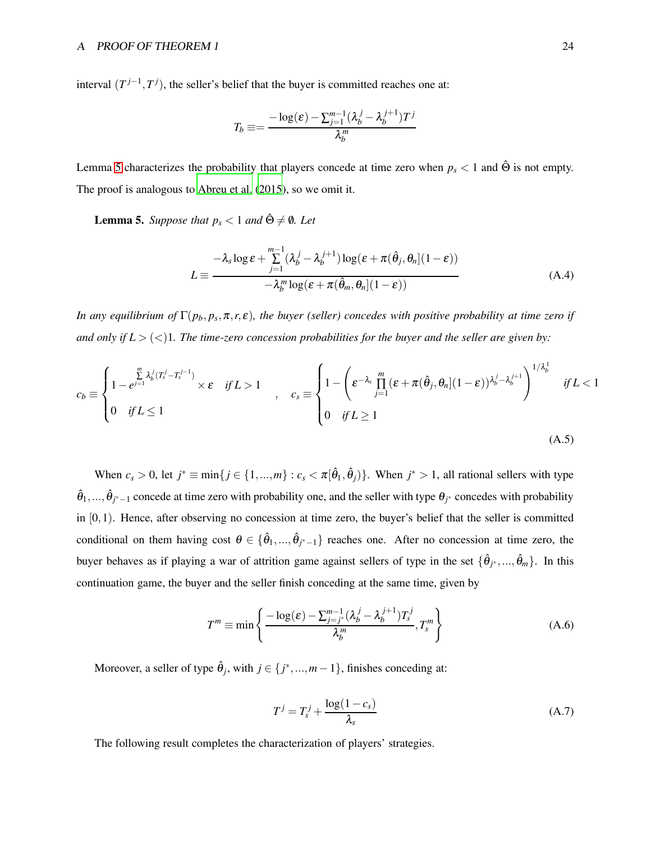interval  $(T^{j-1}, T^j)$ , the seller's belief that the buyer is committed reaches one at:

$$
T_b \equiv = \frac{-\log(\varepsilon) - \sum_{j=1}^{m-1} (\lambda_b^j - \lambda_b^{j+1}) T^j}{\lambda_b^m}
$$

<span id="page-23-0"></span>Lemma [5](#page-23-0) characterizes the probability that players concede at time zero when  $p_s < 1$  and  $\hat{\Theta}$  is not empty. The proof is analogous to [Abreu et al.](#page-33-1) [\(2015](#page-33-1)), so we omit it.

**Lemma 5.** *Suppose that*  $p_s < 1$  *and*  $\hat{\Theta} \neq \emptyset$ *. Let* 

<span id="page-23-1"></span>
$$
L \equiv \frac{-\lambda_s \log \varepsilon + \sum_{j=1}^{m-1} (\lambda_b^j - \lambda_b^{j+1}) \log (\varepsilon + \pi(\hat{\theta}_j, \theta_n](1 - \varepsilon))}{-\lambda_b^m \log (\varepsilon + \pi(\hat{\theta}_m, \theta_n](1 - \varepsilon))}
$$
(A.4)

*In any equilibrium of*  $\Gamma(p_b, p_s, \pi, r, \varepsilon)$ , the buyer (seller) concedes with positive probability at time zero if *and only if*  $L > \langle \langle \rangle$ 1. The time-zero concession probabilities for the buyer and the seller are given by:

$$
c_b \equiv \begin{cases} 1 - e^{\sum\limits_{j=1}^m \lambda_b^j (T_s^j - T_s^{j-1})} \times \varepsilon & \text{if } L > 1 \\ 0 & \text{if } L \le 1 \end{cases}, \quad c_s \equiv \begin{cases} 1 - \left(\varepsilon^{-\lambda_s} \prod\limits_{j=1}^m (\varepsilon + \pi(\hat{\theta}_j, \theta_n | (1-\varepsilon)) \lambda_b^j - \lambda_b^{j+1}\right)^{1/\lambda_b^1} & \text{if } L < 1 \\ 0 & \text{if } L \ge 1 \end{cases}
$$
\n(A.5)

When  $c_s > 0$ , let  $j^* \equiv \min\{j \in \{1, ..., m\} : c_s < \pi[\hat{\theta}_1, \hat{\theta}_j)\}\$ . When  $j^* > 1$ , all rational sellers with type  $\hat{\theta}_1,...,\hat{\theta}_{j^*-1}$  concede at time zero with probability one, and the seller with type  $\theta_{j^*}$  concedes with probability in  $[0,1)$ . Hence, after observing no concession at time zero, the buyer's belief that the seller is committed conditional on them having cost  $\theta \in {\hat{\theta}_1, ..., \hat{\theta}_{j^*-1}}$  reaches one. After no concession at time zero, the buyer behaves as if playing a war of attrition game against sellers of type in the set  $\{\hat{\theta}_{j^*},...,\hat{\theta}_m\}$ . In this continuation game, the buyer and the seller finish conceding at the same time, given by

<span id="page-23-2"></span>
$$
T^m \equiv \min \left\{ \frac{-\log(\varepsilon) - \sum_{j=j^*}^{m-1} (\lambda_b^j - \lambda_b^{j+1}) T_s^j}{\lambda_b^m}, T_s^m \right\}
$$
(A.6)

Moreover, a seller of type  $\hat{\theta}_j$ , with  $j \in \{j^*,...,m-1\}$ , finishes conceding at:

$$
T^j = T_s^j + \frac{\log(1 - c_s)}{\lambda_s} \tag{A.7}
$$

<span id="page-23-3"></span>The following result completes the characterization of players' strategies.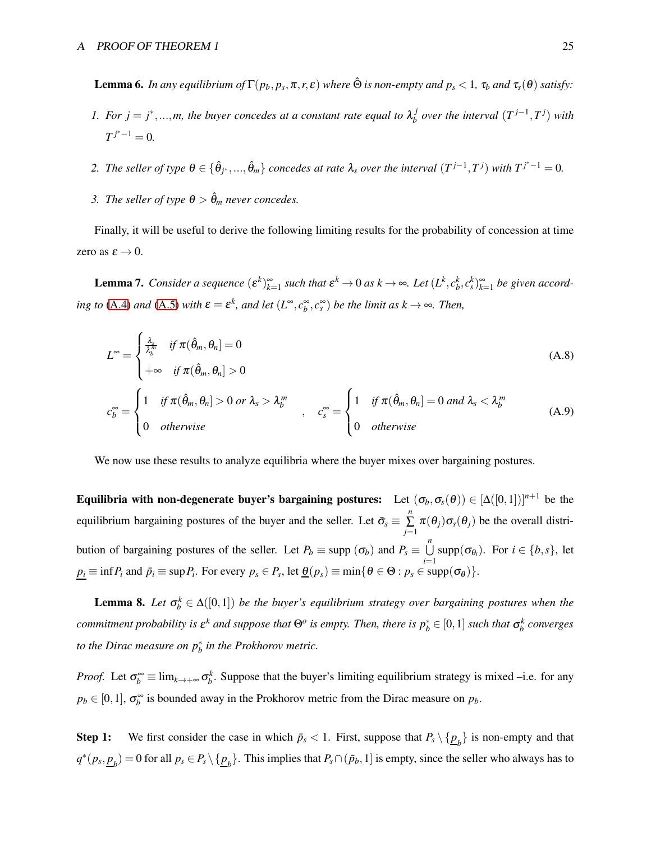**Lemma 6.** In any equilibrium of  $\Gamma(p_b, p_s, \pi, r, \varepsilon)$  where  $\hat{\Theta}$  is non-empty and  $p_s < 1$ ,  $\tau_b$  and  $\tau_s(\theta)$  satisfy:

- *1. For*  $j = j^*,...,m$ *, the buyer concedes at a constant rate equal to*  $\lambda_b^j$  $\int_b^j$  over the interval  $(T^{j-1}, T^j)$  with  $T^{j^*-1} = 0$ .
- 2. The seller of type  $\theta \in \{\hat{\theta}_{j^*}, ..., \hat{\theta}_m\}$  concedes at rate  $\lambda_s$  over the interval  $(T^{j-1}, T^j)$  with  $T^{j^*-1} = 0$ .
- *3. The seller of type*  $\theta > \hat{\theta}_m$  *never concedes.*

<span id="page-24-1"></span>Finally, it will be useful to derive the following limiting results for the probability of concession at time zero as  $\varepsilon \to 0$ .

**Lemma 7.** Consider a sequence  $(\varepsilon^k)_{k=1}^{\infty}$  such that  $\varepsilon^k \to 0$  as  $k \to \infty$ . Let  $(L^k, c_b^k, c_s^k)_{k=1}^{\infty}$  be given accord*ing to* [\(A.4\)](#page-23-1) *and* [\(A.5\)](#page-23-2) *with*  $\varepsilon = \varepsilon^k$ *, and let*  $(L^{\infty}, c_b^{\infty}, c_s^{\infty})$  *be the limit as*  $k \to \infty$ *. Then,* 

$$
L^{\infty} = \begin{cases} \frac{\lambda_{s}}{\lambda_{b}^{m}} & \text{if } \pi(\hat{\theta}_{m}, \theta_{n}] = 0 \\ +\infty & \text{if } \pi(\hat{\theta}_{m}, \theta_{n}] > 0 \end{cases}
$$
(A.8)  

$$
c_{b}^{\infty} = \begin{cases} 1 & \text{if } \pi(\hat{\theta}_{m}, \theta_{n}] > 0 \text{ or } \lambda_{s} > \lambda_{b}^{m} \\ 0 & \text{otherwise} \end{cases}, \quad c_{s}^{\infty} = \begin{cases} 1 & \text{if } \pi(\hat{\theta}_{m}, \theta_{n}] = 0 \text{ and } \lambda_{s} < \lambda_{b}^{m} \\ 0 & \text{otherwise} \end{cases}
$$
(A.9)

We now use these results to analyze equilibria where the buyer mixes over bargaining postures.

Equilibria with non-degenerate buyer's bargaining postures: Let  $(\sigma_b, \sigma_s(\theta)) \in [\Delta([0,1])]^{n+1}$  be the equilibrium bargaining postures of the buyer and the seller. Let  $\bar{\sigma}_{s} \equiv \sum_{i=1}^{n}$  $\sum_{j=1}$   $\pi(\theta_j) \sigma_s(\theta_j)$  be the overall distribution of bargaining postures of the seller. Let  $P_b \equiv \text{supp } (\sigma_b)$  and  $P_s \equiv \bigcup^n$  $\bigcup_{i=1}$  supp $(\sigma_{\theta_i})$ . For  $i \in \{b, s\}$ , let  $p_i \equiv \inf P_i$  and  $\bar{p}_i \equiv \sup P_i$ . For every  $p_s \in P_s$ , let  $\underline{\theta}(p_s) \equiv \min \{ \theta \in \Theta : p_s \in \text{supp}(\sigma_\theta) \}.$ 

<span id="page-24-0"></span>**Lemma 8.** Let  $\sigma_b^k \in \Delta([0,1])$  be the buyer's equilibrium strategy over bargaining postures when the *commitment probability is*  $\varepsilon^k$  *and suppose that*  $\Theta^o$  *is empty. Then, there is*  $p_b^* \in [0,1]$  *such that*  $\sigma_b^k$  *converges to the Dirac measure on p*<sup>∗</sup> *b in the Prokhorov metric.*

*Proof.* Let  $\sigma_b^{\infty} \equiv \lim_{k \to +\infty} \sigma_b^k$ . Suppose that the buyer's limiting equilibrium strategy is mixed –i.e. for any  $p_b \in [0,1]$ ,  $\sigma_b^{\infty}$  is bounded away in the Prokhorov metric from the Dirac measure on  $p_b$ .

Step 1: We first consider the case in which  $\bar{p}_s < 1$ . First, suppose that  $P_s \setminus {\{\underline{p}_b\}}$  is non-empty and that  $q^*(p_s, \underline{p}_b) = 0$  for all  $p_s \in P_s \setminus {\{\underline{p}_b\}}$ . This implies that  $P_s \cap (\bar{p}_b, 1]$  is empty, since the seller who always has to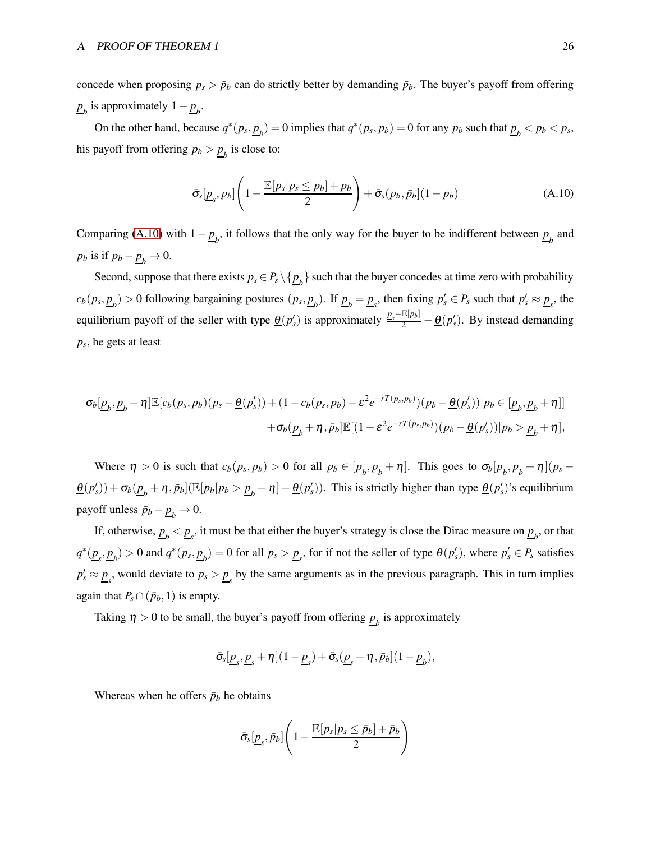concede when proposing  $p_s > \bar{p}_b$  can do strictly better by demanding  $\bar{p}_b$ . The buyer's payoff from offering  $p_b$  is approximately  $1 - p_b$ .

On the other hand, because  $q^*(p_s, \underline{p}_b) = 0$  implies that  $q^*(p_s, p_b) = 0$  for any  $p_b$  such that  $\underline{p}_b < p_b < p_s$ , his payoff from offering  $p_b > \underline{p}_b$  is close to:

<span id="page-25-0"></span>
$$
\bar{\sigma}_s[\underline{p}_s, p_b] \left(1 - \frac{\mathbb{E}[p_s|p_s \le p_b] + p_b}{2}\right) + \bar{\sigma}_s(p_b, \bar{p}_b] (1 - p_b) \tag{A.10}
$$

Comparing [\(A.10\)](#page-25-0) with  $1 - p_b$ , it follows that the only way for the buyer to be indifferent between  $p_b$  and  $p_b$  is if  $p_b - \underline{p}_b \rightarrow 0$ .

Second, suppose that there exists  $p_s \in P_s \setminus \{p_b\}$  such that the buyer concedes at time zero with probability  $c_b(p_s, \underline{p}_b) > 0$  following bargaining postures  $(p_s, \underline{p}_b)$ . If  $\underline{p}_b = \underline{p}_s$ , then fixing  $p'_s \in P_s$  such that  $p'_s \approx \underline{p}_s$ , the equilibrium payoff of the seller with type  $\underline{\theta}(p'_s)$  is approximately  $\frac{p_s + \mathbb{E}[p_b]}{2} - \underline{\theta}(p'_s)$ . By instead demanding *ps* , he gets at least

$$
\sigma_b[\underline{p}_b, \underline{p}_b + \eta] \mathbb{E}[c_b(p_s, p_b)(p_s - \underline{\theta}(p'_s)) + (1 - c_b(p_s, p_b) - \varepsilon^2 e^{-rT(p_s, p_b)})(p_b - \underline{\theta}(p'_s))| p_b \in [\underline{p}_b, \underline{p}_b + \eta]]
$$
  
 
$$
+ \sigma_b(\underline{p}_b + \eta, \bar{p}_b] \mathbb{E}[(1 - \varepsilon^2 e^{-rT(p_s, p_b)})(p_b - \underline{\theta}(p'_s))| p_b > \underline{p}_b + \eta],
$$

Where  $\eta > 0$  is such that  $c_b(p_s, p_b) > 0$  for all  $p_b \in [\underline{p}_b, \underline{p}_b + \eta]$ . This goes to  $\sigma_b[\underline{p}_b, \underline{p}_b + \eta](p_s - \eta)$  $\underline{\theta}(p'_s)$  +  $\sigma_b(\underline{p}_b + \eta, \bar{p}_b]$  ( $\mathbb{E}[p_b|p_b > \underline{p}_b + \eta] - \underline{\theta}(p'_s)$ ). This is strictly higher than type  $\underline{\theta}(p'_s)$ 's equilibrium payoff unless  $\bar{p}_b - \underline{p}_b \rightarrow 0$ .

If, otherwise,  $\underline{p}_b < \underline{p}_s$ , it must be that either the buyer's strategy is close the Dirac measure on  $\underline{p}_b$ , or that  $q^*(\underline{p}_s, \underline{p}_b) > 0$  and  $q^*(p_s, \underline{p}_b) = 0$  for all  $p_s > \underline{p}_s$ , for if not the seller of type  $\underline{\theta}(p'_s)$ , where  $p'_s \in P_s$  satisfies  $p'_s \approx p_s$ , would deviate to  $p_s > p_s$  by the same arguments as in the previous paragraph. This in turn implies again that  $P_s \cap (\bar{p}_b, 1)$  is empty.

Taking  $\eta > 0$  to be small, the buyer's payoff from offering  $\underline{p}_b$  is approximately

$$
\bar{\sigma}_s[\underline{p}_s, \underline{p}_s + \eta](1 - \underline{p}_s) + \bar{\sigma}_s(\underline{p}_s + \eta, \bar{p}_b](1 - \underline{p}_b),
$$

Whereas when he offers  $\bar{p}_b$  he obtains

$$
\bar{\sigma}_s[\underline{p}_s, \bar{p}_b] \left(1 - \frac{\mathbb{E}[p_s|p_s \leq \bar{p}_b] + \bar{p}_b}{2}\right)
$$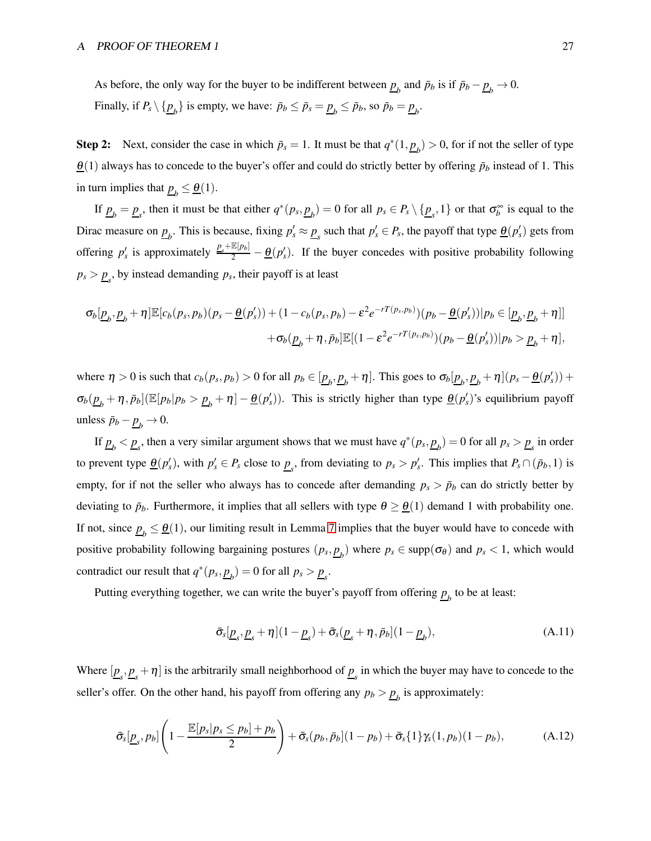As before, the only way for the buyer to be indifferent between  $\underline{p}_b$  and  $\bar{p}_b$  is if  $\bar{p}_b - \underline{p}_b \to 0$ . Finally, if  $P_s \setminus \{ \underline{p}_b \}$  is empty, we have:  $\bar{p}_b \le \bar{p}_s = \underline{p}_b \le \bar{p}_b$ , so  $\bar{p}_b = \underline{p}_b$ .

Step 2: Next, consider the case in which  $\bar{p}_s = 1$ . It must be that  $q^*(1, \underline{p}_b) > 0$ , for if not the seller of type  $\underline{\theta}$ (1) always has to concede to the buyer's offer and could do strictly better by offering  $\bar{p}_b$  instead of 1. This in turn implies that  $\underline{p}_b \leq \underline{\theta}(1)$ .

If  $\underline{p}_b = \underline{p}_s$ , then it must be that either  $q^*(p_s, \underline{p}_b) = 0$  for all  $p_s \in P_s \setminus {\underline{p}_s, 1}$  or that  $\sigma_b^{\infty}$  is equal to the Dirac measure on  $\underline{p}_b$ . This is because, fixing  $p'_s \approx \underline{p}_s$  such that  $p'_s \in P_s$ , the payoff that type  $\underline{\theta}(p'_s)$  gets from offering  $p'_s$  is approximately  $\frac{p_s + \mathbb{E}[p_b]}{2} - \frac{\theta(p'_s)}{2}$ . If the buyer concedes with positive probability following  $p_s > \underline{p}_s$ , by instead demanding  $p_s$ , their payoff is at least

$$
\sigma_b[\underline{p}_b, \underline{p}_b + \eta] \mathbb{E}[c_b(p_s, p_b)(p_s - \underline{\theta}(p'_s)) + (1 - c_b(p_s, p_b) - \varepsilon^2 e^{-rT(p_s, p_b)})(p_b - \underline{\theta}(p'_s))|p_b \in [\underline{p}_b, \underline{p}_b + \eta]]
$$
  
 
$$
+ \sigma_b(\underline{p}_b + \eta, \bar{p}_b] \mathbb{E}[(1 - \varepsilon^2 e^{-rT(p_s, p_b)})(p_b - \underline{\theta}(p'_s))|p_b > \underline{p}_b + \eta],
$$

where  $\eta > 0$  is such that  $c_b(p_s, p_b) > 0$  for all  $p_b \in [\underline{p}_b, \underline{p}_b + \eta]$ . This goes to  $\sigma_b[\underline{p}_b, \underline{p}_b + \eta](p_s - \underline{\theta}(p'_s))$  +  $\sigma_b(\underline{p}_b + \eta, \bar{p}_b]$  ( $\mathbb{E}[p_b|p_b > \underline{p}_b + \eta] - \underline{\theta}(p_s')$ ). This is strictly higher than type  $\underline{\theta}(p_s')$ 's equilibrium payoff unless  $\bar{p}_b - \underline{p}_b \to 0$ .

If  $\underline{p}_b < \underline{p}_s$ , then a very similar argument shows that we must have  $q^*(p_s, \underline{p}_b) = 0$  for all  $p_s > \underline{p}_s$  in order to prevent type  $\underline{\theta}(p'_s)$ , with  $p'_s \in P_s$  close to  $\underline{p}_s$ , from deviating to  $p_s > p'_s$ . This implies that  $P_s \cap (\bar{p}_b, 1)$  is empty, for if not the seller who always has to concede after demanding  $p_s > \bar{p}_b$  can do strictly better by deviating to  $\bar{p}_b$ . Furthermore, it implies that all sellers with type  $\theta \geq \theta(1)$  demand 1 with probability one. If not, since  $\underline{p}_b \leq \underline{\theta}(1)$ , our limiting result in Lemma [7](#page-24-1) implies that the buyer would have to concede with positive probability following bargaining postures  $(p_s, p_b)$  where  $p_s \in \text{supp}(\sigma_\theta)$  and  $p_s < 1$ , which would contradict our result that  $q^*(p_s, \underline{p}_b) = 0$  for all  $p_s > \underline{p}_s$ .

Putting everything together, we can write the buyer's payoff from offering  $\underline{p}_b$  to be at least:

$$
\bar{\sigma}_s[\underline{p}_s, \underline{p}_s + \eta](1 - \underline{p}_s) + \bar{\sigma}_s(\underline{p}_s + \eta, \bar{p}_b](1 - \underline{p}_b),
$$
\n(A.11)

Where  $[\underline{p}_s, \underline{p}_s + \eta]$  is the arbitrarily small neighborhood of  $\underline{p}_s$  in which the buyer may have to concede to the seller's offer. On the other hand, his payoff from offering any  $p_b > \underline{p}_b$  is approximately:

$$
\bar{\sigma}_s[\underline{p}_s, p_b] \left(1 - \frac{\mathbb{E}[p_s|p_s \le p_b] + p_b}{2}\right) + \bar{\sigma}_s(p_b, \bar{p}_b] (1 - p_b) + \bar{\sigma}_s \{1\} \gamma_s(1, p_b) (1 - p_b),\tag{A.12}
$$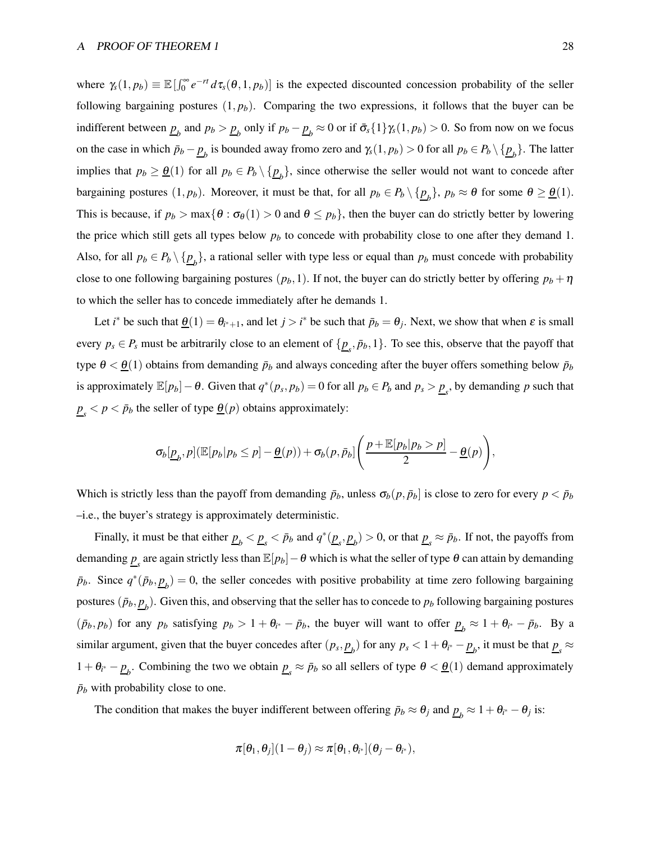where  $\gamma_s(1, p_b) \equiv \mathbb{E}[\int_0^\infty e^{-rt} d\tau_s(\theta, 1, p_b)]$  is the expected discounted concession probability of the seller following bargaining postures  $(1, p_b)$ . Comparing the two expressions, it follows that the buyer can be indifferent between  $\underline{p}_b$  and  $p_b > \underline{p}_b$  only if  $p_b - \underline{p}_b \approx 0$  or if  $\bar{\sigma}_s\{1\}\gamma_s(1, p_b) > 0$ . So from now on we focus on the case in which  $\bar{p}_b - \underline{p}_b$  is bounded away fromo zero and  $\gamma_s(1, p_b) > 0$  for all  $p_b \in P_b \setminus {\{\underline{p}_b\}}$ . The latter implies that  $p_b \ge \underline{\theta}(1)$  for all  $p_b \in P_b \setminus \{\underline{p}_b\}$ , since otherwise the seller would not want to concede after bargaining postures  $(1, p_b)$ . Moreover, it must be that, for all  $p_b \in P_b \setminus {\{\underline{p}_b\}}$ ,  $p_b \approx \theta$  for some  $\theta \geq \underline{\theta}(1)$ . This is because, if  $p_b > \max{\lbrace \theta : \sigma_\theta(1) > 0 \text{ and } \theta \leq p_b \rbrace}$ , then the buyer can do strictly better by lowering the price which still gets all types below *p<sup>b</sup>* to concede with probability close to one after they demand 1. Also, for all  $p_b \in P_b \setminus \{p_b\}$ , a rational seller with type less or equal than  $p_b$  must concede with probability close to one following bargaining postures  $(p_b, 1)$ . If not, the buyer can do strictly better by offering  $p_b + \eta$ to which the seller has to concede immediately after he demands 1.

Let *i*<sup>\*</sup> be such that  $\underline{\theta}(1) = \theta_{i^*+1}$ , and let  $j > i^*$  be such that  $\bar{p}_b = \theta_j$ . Next, we show that when  $\varepsilon$  is small every  $p_s \in P_s$  must be arbitrarily close to an element of  $\{\underline{p}_s, \bar{p}_b, 1\}$ . To see this, observe that the payoff that type  $\theta < \underline{\theta}(1)$  obtains from demanding  $\bar{p}_b$  and always conceding after the buyer offers something below  $\bar{p}_b$ is approximately  $\mathbb{E}[p_b] - \theta$ . Given that  $q^*(p_s, p_b) = 0$  for all  $p_b \in P_b$  and  $p_s > \underline{p}_s$ , by demanding *p* such that  $p_s$   $\lt p \lt p_b$  the seller of type  $\theta(p)$  obtains approximately:

$$
\sigma_b[\underline{p}_b,p](\mathbb{E}[p_b|p_b \leq p] - \underline{\theta}(p)) + \sigma_b(p,\bar{p}_b) \left( \frac{p + \mathbb{E}[p_b|p_b > p]}{2} - \underline{\theta}(p) \right),
$$

Which is strictly less than the payoff from demanding  $\bar{p}_b$ , unless  $\sigma_b(p, \bar{p}_b]$  is close to zero for every  $p < \bar{p}_b$ –i.e., the buyer's strategy is approximately deterministic.

Finally, it must be that either  $\underline{p}_b < \underline{p}_s < \bar{p}_b$  and  $q^*(\underline{p}_s, \underline{p}_b) > 0$ , or that  $\underline{p}_s \approx \bar{p}_b$ . If not, the payoffs from demanding  $\underline{p}_s$  are again strictly less than  $\mathbb{E}[p_b]-\theta$  which is what the seller of type  $\theta$  can attain by demanding  $\bar{p}_b$ . Since  $q^*(\bar{p}_b, \underline{p}_b) = 0$ , the seller concedes with positive probability at time zero following bargaining postures  $(\bar{p}_b, \underline{p}_b)$ . Given this, and observing that the seller has to concede to  $p_b$  following bargaining postures  $(\bar{p}_b, p_b)$  for any  $p_b$  satisfying  $p_b > 1 + \theta_{i^*} - \bar{p}_b$ , the buyer will want to offer  $\underline{p}_b \approx 1 + \theta_{i^*} - \bar{p}_b$ . By a similar argument, given that the buyer concedes after  $(p_s, p_b)$  for any  $p_s < 1 + \theta_{i^*} - \underline{p}_b$ , it must be that  $\underline{p}_s \approx$  $1 + \theta_{i^*} - p_b$ . Combining the two we obtain  $p_s \approx \bar{p}_b$  so all sellers of type  $\theta < \theta(1)$  demand approximately  $\bar{p}_b$  with probability close to one.

The condition that makes the buyer indifferent between offering  $\bar{p}_b \approx \theta_j$  and  $\underline{p}_b \approx 1 + \theta_{i^*} - \theta_j$  is:

$$
\pi[\theta_1, \theta_j](1-\theta_j) \approx \pi[\theta_1, \theta_{i^*}](\theta_j - \theta_{i^*}),
$$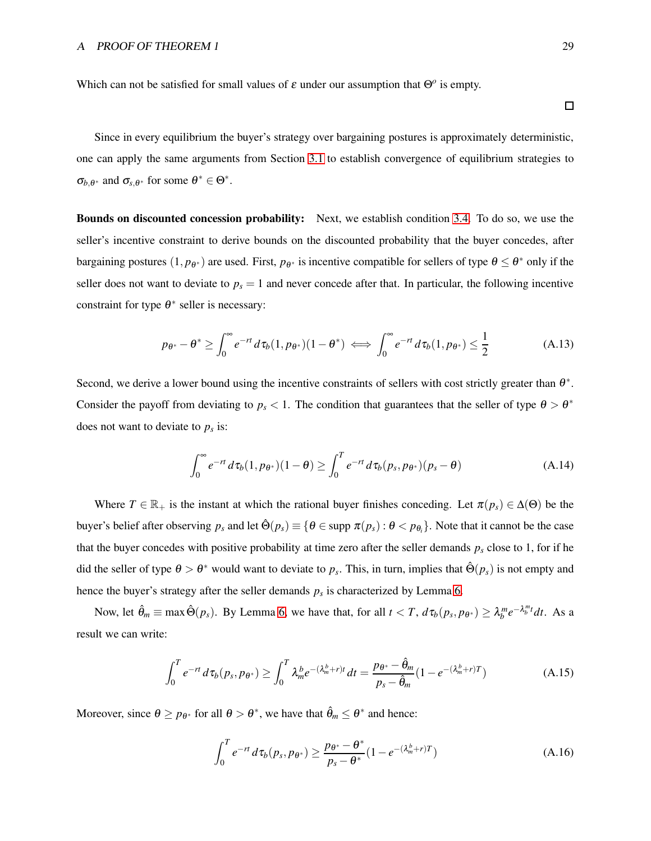Which can not be satisfied for small values of  $\varepsilon$  under our assumption that  $\Theta$ <sup>*o*</sup> is empty.

Since in every equilibrium the buyer's strategy over bargaining postures is approximately deterministic, one can apply the same arguments from Section [3.1](#page-10-0) to establish convergence of equilibrium strategies to  $\sigma_{b,\theta^*}$  and  $\sigma_{s,\theta^*}$  for some  $\theta^* \in \Theta^*$ .

Bounds on discounted concession probability: Next, we establish condition [3.4.](#page-7-1) To do so, we use the seller's incentive constraint to derive bounds on the discounted probability that the buyer concedes, after bargaining postures  $(1, p_{\theta^*})$  are used. First,  $p_{\theta^*}$  is incentive compatible for sellers of type  $\theta \le \theta^*$  only if the seller does not want to deviate to  $p<sub>s</sub> = 1$  and never concede after that. In particular, the following incentive constraint for type  $\theta^*$  seller is necessary:

$$
p_{\theta^*} - \theta^* \ge \int_0^\infty e^{-rt} d\tau_b(1, p_{\theta^*})(1 - \theta^*) \iff \int_0^\infty e^{-rt} d\tau_b(1, p_{\theta^*}) \le \frac{1}{2}
$$
 (A.13)

Second, we derive a lower bound using the incentive constraints of sellers with cost strictly greater than  $\theta^*$ . Consider the payoff from deviating to  $p_s < 1$ . The condition that guarantees that the seller of type  $\theta > \theta^*$ does not want to deviate to *p<sup>s</sup>* is:

<span id="page-28-2"></span>
$$
\int_0^\infty e^{-rt} d\tau_b(1, p_{\theta^*})(1-\theta) \ge \int_0^T e^{-rt} d\tau_b(p_s, p_{\theta^*})(p_s - \theta)
$$
\n(A.14)

Where  $T \in \mathbb{R}_+$  is the instant at which the rational buyer finishes conceding. Let  $\pi(p_s) \in \Delta(\Theta)$  be the buyer's belief after observing  $p_s$  and let  $\hat{\Theta}(p_s) \equiv \{ \theta \in \text{supp } \pi(p_s) : \theta < p_{\theta_i} \}$ . Note that it cannot be the case that the buyer concedes with positive probability at time zero after the seller demands  $p_s$  close to 1, for if he did the seller of type  $\theta > \theta^*$  would want to deviate to  $p_s$ . This, in turn, implies that  $\hat{\Theta}(p_s)$  is not empty and hence the buyer's strategy after the seller demands  $p_s$  is characterized by Lemma [6.](#page-23-3)

Now, let  $\hat{\theta}_m \equiv \max \hat{\Theta}(p_s)$ . By Lemma [6,](#page-23-3) we have that, for all  $t < T$ ,  $d\tau_b(p_s, p_{\theta^*}) \geq \lambda_b^m e^{-\lambda_b^m t} dt$ . As a result we can write:

<span id="page-28-0"></span>
$$
\int_0^T e^{-rt} d\tau_b(p_s, p_{\theta^*}) \ge \int_0^T \lambda_m^b e^{-(\lambda_m^b + r)t} dt = \frac{p_{\theta^*} - \hat{\theta}_m}{p_s - \hat{\theta}_m} (1 - e^{-(\lambda_m^b + r)T})
$$
(A.15)

Moreover, since  $\theta \ge p_{\theta^*}$  for all  $\theta > \theta^*$ , we have that  $\hat{\theta}_m \le \theta^*$  and hence:

<span id="page-28-1"></span>
$$
\int_0^T e^{-rt} d\tau_b(p_s, p_{\theta^*}) \ge \frac{p_{\theta^*} - \theta^*}{p_s - \theta^*} (1 - e^{-(\lambda_m^b + r)T})
$$
\n(A.16)

 $\Box$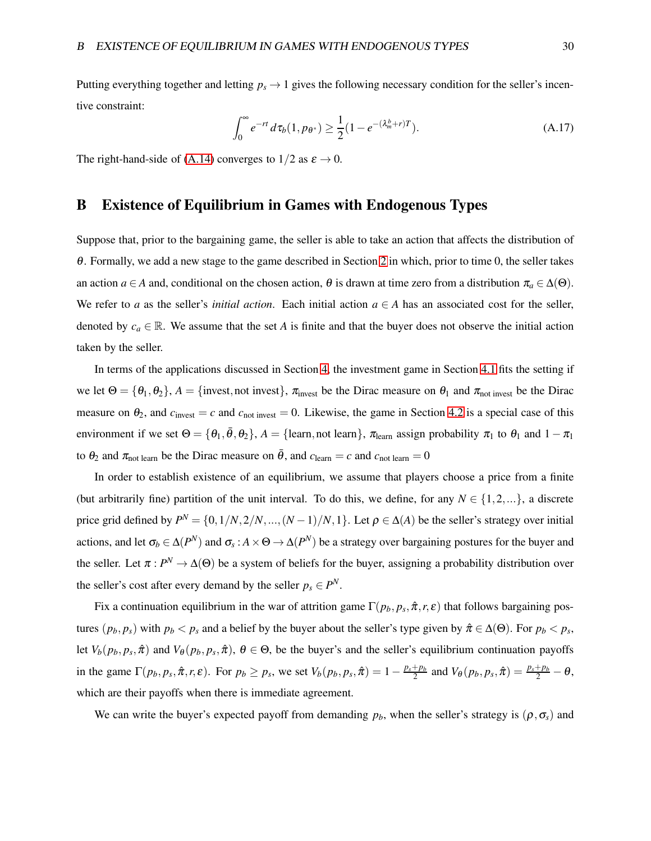Putting everything together and letting  $p_s \to 1$  gives the following necessary condition for the seller's incentive constraint:

<span id="page-29-1"></span>
$$
\int_0^\infty e^{-rt} d\tau_b(1, p_{\theta^*}) \ge \frac{1}{2} (1 - e^{-(\lambda_m^b + r)T}).
$$
\n(A.17)

<span id="page-29-0"></span>The right-hand-side of [\(A.14\)](#page-28-2) converges to  $1/2$  as  $\varepsilon \to 0$ .

## B Existence of Equilibrium in Games with Endogenous Types

Suppose that, prior to the bargaining game, the seller is able to take an action that affects the distribution of <sup>θ</sup>. Formally, we add a new stage to the game described in Section [2](#page-4-0) in which, prior to time 0, the seller takes an action *a* ∈ *A* and, conditional on the chosen action,  $\theta$  is drawn at time zero from a distribution  $\pi_a \in \Delta(\Theta)$ . We refer to *a* as the seller's *initial action*. Each initial action  $a \in A$  has an associated cost for the seller, denoted by  $c_a \in \mathbb{R}$ . We assume that the set *A* is finite and that the buyer does not observe the initial action taken by the seller.

In terms of the applications discussed in Section [4,](#page-16-0) the investment game in Section [4.1](#page-17-2) fits the setting if we let  $\Theta = {\theta_1, \theta_2}$ ,  $A = {\text{invest}, \text{not invest}}$ ,  $\pi_{\text{invest}}$  be the Dirac measure on  $\theta_1$  and  $\pi_{\text{not invest}}$  be the Dirac measure on  $\theta_2$ , and  $c_{\text{invest}} = c$  and  $c_{\text{not invest}} = 0$ . Likewise, the game in Section [4.2](#page-19-1) is a special case of this environment if we set  $\Theta = \{\theta_1, \bar{\theta}, \theta_2\}$ ,  $A = \{\text{learn}, \text{not learn}\}$ ,  $\pi_{\text{learn}}$  assign probability  $\pi_1$  to  $\theta_1$  and  $1 - \pi_1$ to  $\theta_2$  and  $\pi_{\text{not learn}}$  be the Dirac measure on  $\bar{\theta}$ , and  $c_{\text{learn}} = c$  and  $c_{\text{not learn}} = 0$ 

In order to establish existence of an equilibrium, we assume that players choose a price from a finite (but arbitrarily fine) partition of the unit interval. To do this, we define, for any  $N \in \{1, 2, ...\}$ , a discrete price grid defined by  $P^N = \{0, 1/N, 2/N, ..., (N-1)/N, 1\}$ . Let  $\rho \in \Delta(A)$  be the seller's strategy over initial actions, and let  $\sigma_b \in \Delta(P^N)$  and  $\sigma_s : A \times \Theta \to \Delta(P^N)$  be a strategy over bargaining postures for the buyer and the seller. Let  $\pi : P^N \to \Delta(\Theta)$  be a system of beliefs for the buyer, assigning a probability distribution over the seller's cost after every demand by the seller  $p_s \in P^N$ .

Fix a continuation equilibrium in the war of attrition game  $\Gamma(p_b, p_s, \hat{\pi}, r, \varepsilon)$  that follows bargaining postures  $(p_b, p_s)$  with  $p_b < p_s$  and a belief by the buyer about the seller's type given by  $\hat{\pi} \in \Delta(\Theta)$ . For  $p_b < p_s$ , let  $V_b(p_b, p_s, \hat{\pi})$  and  $V_{\theta}(p_b, p_s, \hat{\pi})$ ,  $\theta \in \Theta$ , be the buyer's and the seller's equilibrium continuation payoffs in the game  $\Gamma(p_b, p_s, \hat{\pi}, r, \varepsilon)$ . For  $p_b \ge p_s$ , we set  $V_b(p_b, p_s, \hat{\pi}) = 1 - \frac{p_s + p_b}{2}$  and  $V_{\theta}(p_b, p_s, \hat{\pi}) = \frac{p_s + p_b}{2} - \theta$ , which are their payoffs when there is immediate agreement.

We can write the buyer's expected payoff from demanding  $p_b$ , when the seller's strategy is  $(\rho, \sigma_s)$  and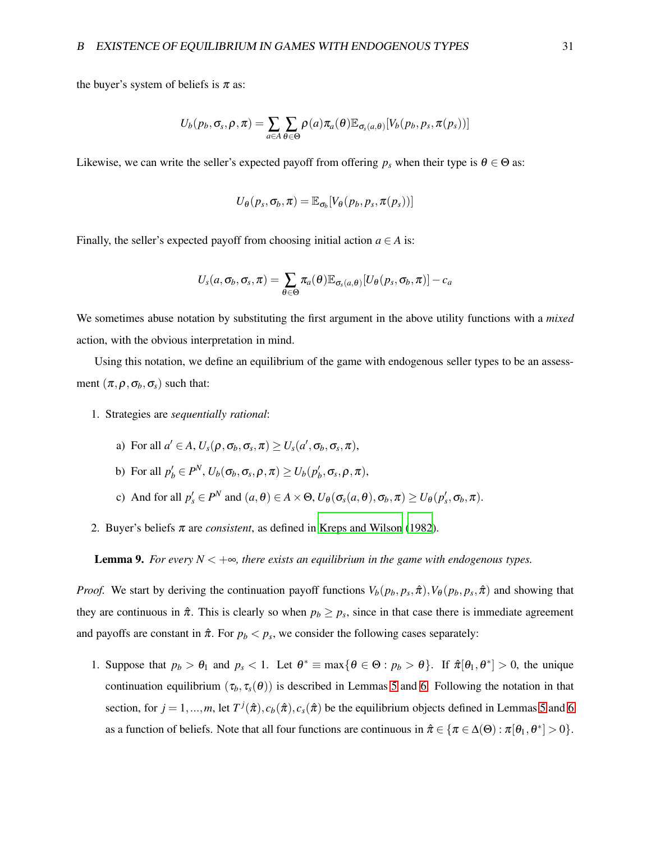the buyer's system of beliefs is  $\pi$  as:

$$
U_b(p_b, \sigma_s, \rho, \pi) = \sum_{a \in A} \sum_{\theta \in \Theta} \rho(a) \pi_a(\theta) \mathbb{E}_{\sigma_s(a, \theta)}[V_b(p_b, p_s, \pi(p_s))]
$$

Likewise, we can write the seller's expected payoff from offering  $p_s$  when their type is  $\theta \in \Theta$  as:

$$
U_{\theta}(p_s, \sigma_b, \pi) = \mathbb{E}_{\sigma_b}[V_{\theta}(p_b, p_s, \pi(p_s))]
$$

Finally, the seller's expected payoff from choosing initial action  $a \in A$  is:

$$
U_s(a,\sigma_b,\sigma_s,\pi)=\sum_{\theta\in\Theta}\pi_a(\theta)\mathbb{E}_{\sigma_s(a,\theta)}[U_\theta(p_s,\sigma_b,\pi)]-c_a
$$

We sometimes abuse notation by substituting the first argument in the above utility functions with a *mixed* action, with the obvious interpretation in mind.

Using this notation, we define an equilibrium of the game with endogenous seller types to be an assessment  $(\pi, \rho, \sigma_b, \sigma_s)$  such that:

- 1. Strategies are *sequentially rational*:
	- a) For all  $a' \in A$ ,  $U_s(\rho, \sigma_b, \sigma_s, \pi) \ge U_s(a', \sigma_b, \sigma_s, \pi)$ ,
	- b) For all  $p'_b \in P^N$ ,  $U_b(\sigma_b, \sigma_s, \rho, \pi) \ge U_b(p'_b, \sigma_s, \rho, \pi)$ ,
	- c) And for all  $p'_s \in P^N$  and  $(a, \theta) \in A \times \Theta$ ,  $U_{\theta}(\sigma_s(a, \theta), \sigma_b, \pi) \ge U_{\theta}(p'_s, \sigma_b, \pi)$ .
- 2. Buyer's beliefs <sup>π</sup> are *consistent*, as defined in [Kreps and Wilson \(1982\)](#page-34-11).

**Lemma 9.** *For every N*  $\lt +\infty$ *, there exists an equilibrium in the game with endogenous types.* 

*Proof.* We start by deriving the continuation payoff functions  $V_b(p_b, p_s, \hat{\pi})$ ,  $V_{\theta}(p_b, p_s, \hat{\pi})$  and showing that they are continuous in  $\hat{\pi}$ . This is clearly so when  $p_b \geq p_s$ , since in that case there is immediate agreement and payoffs are constant in  $\hat{\pi}$ . For  $p_b < p_s$ , we consider the following cases separately:

1. Suppose that  $p_b > \theta_1$  and  $p_s < 1$ . Let  $\theta^* \equiv \max\{\theta \in \Theta : p_b > \theta\}$ . If  $\hat{\pi}[\theta_1, \theta^*] > 0$ , the unique continuation equilibrium  $(\tau_b, \tau_s(\theta))$  is described in Lemmas [5](#page-23-0) and [6.](#page-23-3) Following the notation in that section, for  $j = 1, ..., m$ , let  $T^j(\hat{\pi}), c_b(\hat{\pi}), c_s(\hat{\pi})$  be the equilibrium objects defined in Lemmas [5](#page-23-0) and [6](#page-23-3) as a function of beliefs. Note that all four functions are continuous in  $\hat{\pi} \in {\pi \in \Delta(\Theta) : \pi[\theta_1, \theta^*] > 0}.$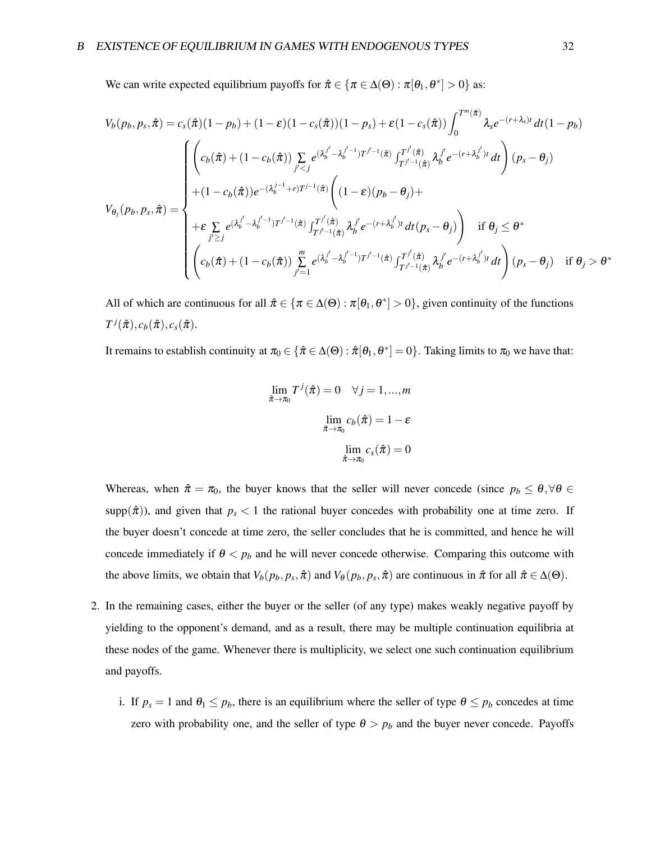We can write expected equilibrium payoffs for  $\hat{\pi} \in {\pi \in \Delta(\Theta) : \pi[\theta_1, \theta^*] > 0}$  as:

$$
V_b(p_b, p_s, \hat{\pi}) = c_s(\hat{\pi})(1 - p_b) + (1 - \varepsilon)(1 - c_s(\hat{\pi}))(1 - p_s) + \varepsilon(1 - c_s(\hat{\pi})) \int_0^{T^m(\hat{\pi})} \lambda_s e^{-(r + \lambda_s)t} dt (1 - p_b)
$$
  

$$
V_{\theta_j}(p_b, p_s, \hat{\pi}) = \begin{cases} \left( c_b(\hat{\pi}) + (1 - c_b(\hat{\pi})) \sum_{j' < j} e^{(\lambda_b^{j'} - \lambda_b^{j'-1})T^{j'-1}(\hat{\pi})} \int_{T^{j'-1}(\hat{\pi})}^{T^j(\hat{\pi})} \lambda_b^{j'} e^{-(r + \lambda_b^{j'})t} dt \right) (p_s - \theta_j) \\ + (1 - c_b(\hat{\pi})) e^{-(\lambda_b^{j-1} + r)T^{j-1}(\hat{\pi})} \left( (1 - \varepsilon)(p_b - \theta_j) + \\ + \varepsilon \sum_{j' \ge j} e^{(\lambda_b^{j'} - \lambda_b^{j'-1})T^{j'-1}(\hat{\pi})} \int_{T^{j'-1}(\hat{\pi})}^{T^j(\hat{\pi})} \lambda_b^{j'} e^{-(r + \lambda_b^{j'})t} dt (p_s - \theta_j) \right) & \text{if } \theta_j \le \theta^* \\ \left( c_b(\hat{\pi}) + (1 - c_b(\hat{\pi})) \sum_{j'=1}^m e^{(\lambda_b^{j'} - \lambda_b^{j'-1})T^{j'-1}(\hat{\pi})} \int_{T^{j'-1}(\hat{\pi})}^{T^j(\hat{\pi})} \lambda_b^{j'} e^{-(r + \lambda_b^{j'})t} dt \right) (p_s - \theta_j) & \text{if } \theta_j > \theta^* \end{cases}
$$

All of which are continuous for all  $\hat{\pi} \in {\pi \in \Delta(\Theta) : \pi[\theta_1, \theta^*] > 0}$ , given continuity of the functions  $T^j(\hat{\pi}), c_b(\hat{\pi}), c_s(\hat{\pi}).$ 

It remains to establish continuity at  $\pi_0 \in \{ \hat{\pi} \in \Delta(\Theta) : \hat{\pi}[\theta_1,\theta^*]=0 \}$ . Taking limits to  $\pi_0$  we have that:

$$
\lim_{\hat{\pi}\to\pi_0} T^j(\hat{\pi}) = 0 \quad \forall j = 1,...,m
$$
\n
$$
\lim_{\hat{\pi}\to\pi_0} c_b(\hat{\pi}) = 1 - \varepsilon
$$
\n
$$
\lim_{\hat{\pi}\to\pi_0} c_s(\hat{\pi}) = 0
$$

Whereas, when  $\hat{\pi} = \pi_0$ , the buyer knows that the seller will never concede (since  $p_b \leq \theta$ ,  $\forall \theta \in$ supp $(\hat{\pi})$ ), and given that  $p_s < 1$  the rational buyer concedes with probability one at time zero. If the buyer doesn't concede at time zero, the seller concludes that he is committed, and hence he will concede immediately if  $\theta < p_b$  and he will never concede otherwise. Comparing this outcome with the above limits, we obtain that  $V_b(p_b, p_s, \hat{\pi})$  and  $V_{\theta}(p_b, p_s, \hat{\pi})$  are continuous in  $\hat{\pi}$  for all  $\hat{\pi} \in \Delta(\Theta)$ .

- 2. In the remaining cases, either the buyer or the seller (of any type) makes weakly negative payoff by yielding to the opponent's demand, and as a result, there may be multiple continuation equilibria at these nodes of the game. Whenever there is multiplicity, we select one such continuation equilibrium and payoffs.
	- i. If  $p_s = 1$  and  $\theta_1 \leq p_b$ , there is an equilibrium where the seller of type  $\theta \leq p_b$  concedes at time zero with probability one, and the seller of type  $\theta > p_b$  and the buyer never concede. Payoffs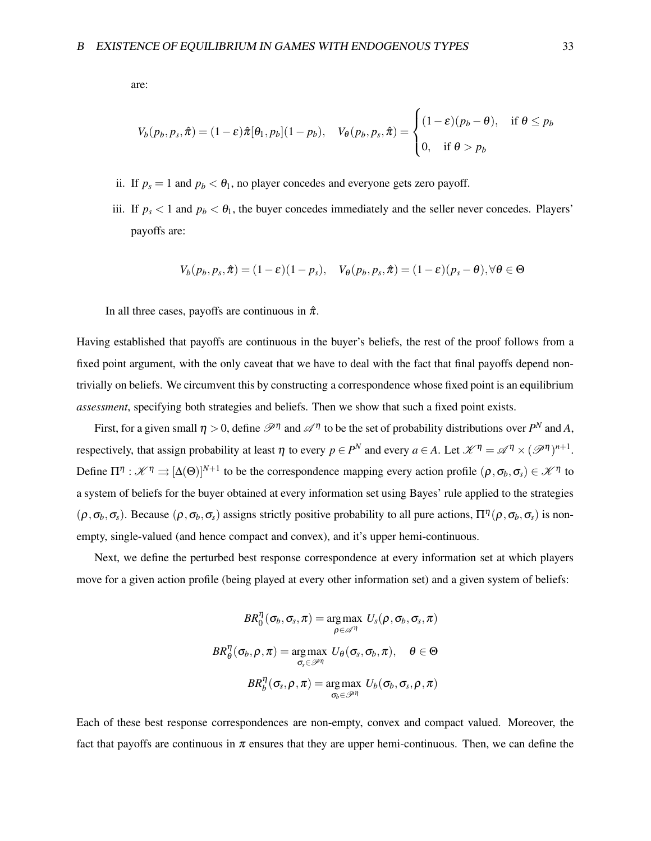are:

$$
V_b(p_b, p_s, \hat{\pi}) = (1 - \varepsilon)\hat{\pi}[\theta_1, p_b](1 - p_b), \quad V_{\theta}(p_b, p_s, \hat{\pi}) = \begin{cases} (1 - \varepsilon)(p_b - \theta), & \text{if } \theta \le p_b \\ 0, & \text{if } \theta > p_b \end{cases}
$$

- ii. If  $p_s = 1$  and  $p_b < \theta_1$ , no player concedes and everyone gets zero payoff.
- iii. If  $p_s < 1$  and  $p_b < \theta_1$ , the buyer concedes immediately and the seller never concedes. Players' payoffs are:

$$
V_b(p_b, p_s, \hat{\pi}) = (1 - \varepsilon)(1 - p_s), \quad V_{\theta}(p_b, p_s, \hat{\pi}) = (1 - \varepsilon)(p_s - \theta), \forall \theta \in \Theta
$$

In all three cases, payoffs are continuous in  $\hat{\pi}$ .

Having established that payoffs are continuous in the buyer's beliefs, the rest of the proof follows from a fixed point argument, with the only caveat that we have to deal with the fact that final payoffs depend nontrivially on beliefs. We circumvent this by constructing a correspondence whose fixed point is an equilibrium *assessment*, specifying both strategies and beliefs. Then we show that such a fixed point exists.

First, for a given small  $\eta > 0$ , define  $\mathcal{P}^{\eta}$  and  $\mathcal{A}^{\eta}$  to be the set of probability distributions over  $P^N$  and A, respectively, that assign probability at least  $\eta$  to every  $p \in P^N$  and every  $a \in A$ . Let  $\mathcal{K}^{\eta} = \mathcal{A}^{\eta} \times (\mathcal{P}^{\eta})^{n+1}$ . Define  $\Pi^{\eta} : \mathscr{K}^{\eta} \rightrightarrows [\Delta(\Theta)]^{N+1}$  to be the correspondence mapping every action profile  $(\rho, \sigma_b, \sigma_s) \in \mathscr{K}^{\eta}$  to a system of beliefs for the buyer obtained at every information set using Bayes' rule applied to the strategies  $(\rho, \sigma_b, \sigma_s)$ . Because  $(\rho, \sigma_b, \sigma_s)$  assigns strictly positive probability to all pure actions,  $\Pi^{\eta}(\rho, \sigma_b, \sigma_s)$  is nonempty, single-valued (and hence compact and convex), and it's upper hemi-continuous.

Next, we define the perturbed best response correspondence at every information set at which players move for a given action profile (being played at every other information set) and a given system of beliefs:

$$
BR_0^\eta(\sigma_b, \sigma_s, \pi) = \operatornamewithlimits{arg\,max}_{\rho \in \mathscr{A}^\eta} \; U_s(\rho, \sigma_b, \sigma_s, \pi) \\ BR_\theta^\eta(\sigma_b, \rho, \pi) = \operatornamewithlimits{arg\,max}_{\sigma_s \in \mathscr{P}^\eta} \; U_\theta(\sigma_s, \sigma_b, \pi), \quad \theta \in \Theta \\ BR_b^\eta(\sigma_s, \rho, \pi) = \operatornamewithlimits{arg\,max}_{\sigma_b \in \mathscr{P}^\eta} \; U_b(\sigma_b, \sigma_s, \rho, \pi)
$$

Each of these best response correspondences are non-empty, convex and compact valued. Moreover, the fact that payoffs are continuous in  $\pi$  ensures that they are upper hemi-continuous. Then, we can define the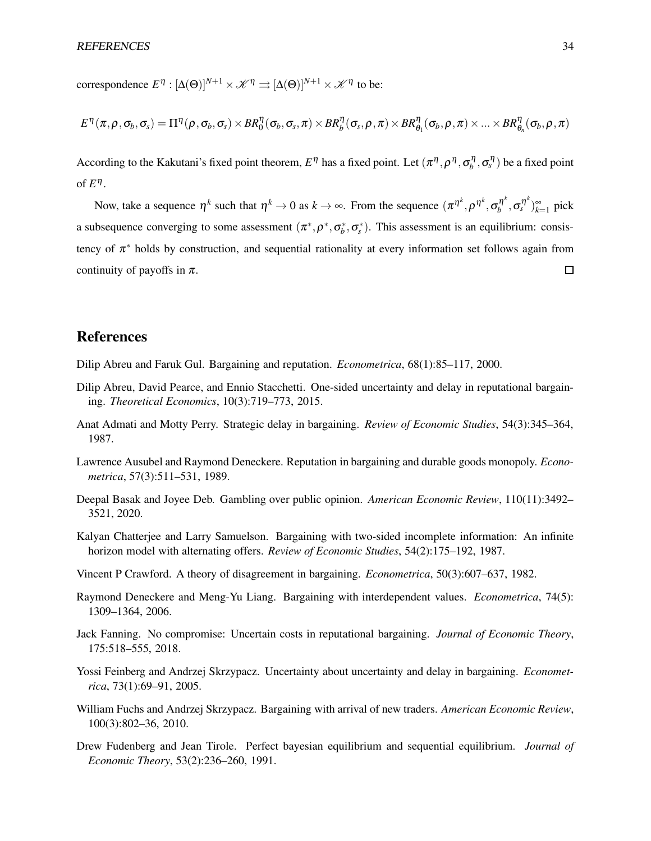correspondence  $E^{\eta}: [\Delta(\Theta)]^{N+1} \times \mathcal{K}^{\eta} \rightrightarrows [\Delta(\Theta)]^{N+1} \times \mathcal{K}^{\eta}$  to be:

$$
E^{\eta}(\pi,\rho,\sigma_b,\sigma_s)=\Pi^{\eta}(\rho,\sigma_b,\sigma_s)\times BR^{\eta}_{0}(\sigma_b,\sigma_s,\pi)\times BR^{\eta}_{b}(\sigma_s,\rho,\pi)\times BR^{\eta}_{\theta_1}(\sigma_b,\rho,\pi)\times...\times BR^{\eta}_{\theta_n}(\sigma_b,\rho,\pi)
$$

According to the Kakutani's fixed point theorem,  $E^{\eta}$  has a fixed point. Let  $(\pi^{\eta}, \rho^{\eta}, \sigma_b^{\eta}, \sigma_s^{\eta})$  be a fixed point of  $E^{\eta}$ .

Now, take a sequence  $\eta^k$  such that  $\eta^k \to 0$  as  $k \to \infty$ . From the sequence  $(\pi^{\eta^k}, \rho^{\eta^k}, \sigma_h^{\eta^k})$  $\int_b^{\eta^k}$ ,  $\sigma_s^{\eta^k}$ ) $_{k=1}^{\infty}$  pick a subsequence converging to some assessment  $(\pi^*, \rho^*, \sigma_b^*, \sigma_s^*)$ . This assessment is an equilibrium: consistency of  $\pi^*$  holds by construction, and sequential rationality at every information set follows again from continuity of payoffs in  $\pi$ .  $\Box$ 

### References

<span id="page-33-0"></span>Dilip Abreu and Faruk Gul. Bargaining and reputation. *Econometrica*, 68(1):85–117, 2000.

- <span id="page-33-1"></span>Dilip Abreu, David Pearce, and Ennio Stacchetti. One-sided uncertainty and delay in reputational bargaining. *Theoretical Economics*, 10(3):719–773, 2015.
- <span id="page-33-4"></span>Anat Admati and Motty Perry. Strategic delay in bargaining. *Review of Economic Studies*, 54(3):345–364, 1987.
- <span id="page-33-6"></span>Lawrence Ausubel and Raymond Deneckere. Reputation in bargaining and durable goods monopoly. *Econometrica*, 57(3):511–531, 1989.
- <span id="page-33-5"></span>Deepal Basak and Joyee Deb. Gambling over public opinion. *American Economic Review*, 110(11):3492– 3521, 2020.
- <span id="page-33-2"></span>Kalyan Chatterjee and Larry Samuelson. Bargaining with two-sided incomplete information: An infinite horizon model with alternating offers. *Review of Economic Studies*, 54(2):175–192, 1987.
- <span id="page-33-10"></span>Vincent P Crawford. A theory of disagreement in bargaining. *Econometrica*, 50(3):607–637, 1982.
- <span id="page-33-8"></span>Raymond Deneckere and Meng-Yu Liang. Bargaining with interdependent values. *Econometrica*, 74(5): 1309–1364, 2006.
- <span id="page-33-3"></span>Jack Fanning. No compromise: Uncertain costs in reputational bargaining. *Journal of Economic Theory*, 175:518–555, 2018.
- <span id="page-33-7"></span>Yossi Feinberg and Andrzej Skrzypacz. Uncertainty about uncertainty and delay in bargaining. *Econometrica*, 73(1):69–91, 2005.
- <span id="page-33-9"></span>William Fuchs and Andrzej Skrzypacz. Bargaining with arrival of new traders. *American Economic Review*, 100(3):802–36, 2010.
- <span id="page-33-11"></span>Drew Fudenberg and Jean Tirole. Perfect bayesian equilibrium and sequential equilibrium. *Journal of Economic Theory*, 53(2):236–260, 1991.